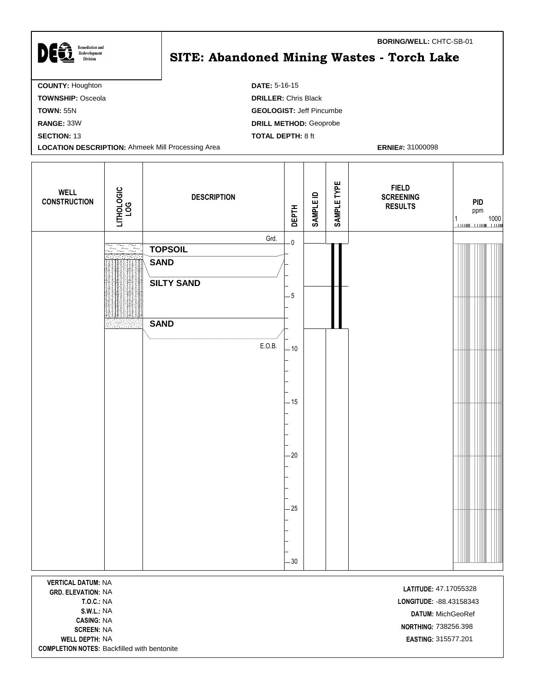| <b>Remediation and</b><br>Redevelopment<br><b>Division</b> | <b>BORING/WELL: CHTC-SB-01</b><br>SITE: Abandoned Mining Wastes - Torch Lake |
|------------------------------------------------------------|------------------------------------------------------------------------------|
| <b>COUNTY: Houghton</b>                                    | <b>DATE: 5-16-15</b>                                                         |
| <b>TOWNSHIP: Osceola</b>                                   | <b>DRILLER: Chris Black</b>                                                  |
| <b>TOWN: 55N</b>                                           | <b>GEOLOGIST: Jeff Pincumbe</b>                                              |
| RANGE: 33W                                                 | <b>DRILL METHOD: Geoprobe</b>                                                |
| <b>SECTION: 13</b>                                         | <b>TOTAL DEPTH: 8 ft</b>                                                     |
| <b>LOCATION DESCRIPTION: Ahmeek Mill Processing Area</b>   | <b>ERNIE#: 31000098</b>                                                      |
|                                                            |                                                                              |

 $\mathbf l$ 

| LITHOLOGIC<br>LOG<br><b>WELL</b><br><b>CONSTRUCTION</b>                 | <b>DESCRIPTION</b>                                                                  | <b>DEPTH</b>                                                                 | <b>SAMPLE ID</b> | SAMPLE TYPE | <b>FIELD</b><br><b>SCREENING</b><br><b>RESULTS</b> | PID<br>ppm<br>$\begin{array}{c} 1 \\ \hline \end{array} \qquad \qquad \begin{array}{c} 1000 \\ \hline \end{array}$ |
|-------------------------------------------------------------------------|-------------------------------------------------------------------------------------|------------------------------------------------------------------------------|------------------|-------------|----------------------------------------------------|--------------------------------------------------------------------------------------------------------------------|
| $\sum\limits_{i=1}^{\infty}\sum\limits_{i=1}^{\infty}\tilde{\lambda}_i$ | Grd.<br><b>TOPSOIL</b><br><b>SAND</b><br><b>SILTY SAND</b><br><b>SAND</b><br>E.O.B. | $\overline{\mathbf{0}}$<br>$-5$<br>$-10$<br>$-15$<br>$-20$<br>$-25$<br>$-30$ |                  |             |                                                    |                                                                                                                    |

**COMPLETION NOTES:** Backfilled with bentonite**VERTICAL DATUM:** NA **LATITUDE:** 47.17055328<br> **GRD. ELEVATION:** NA **CASING:** NA **WELL DEPTH:** NA **EASTING:** 315577.201

**T.O.C.:** NA **LONGITUDE:** -88.43158343 **S.W.L.:** NA **DATUM:** MichGeoRef **NORTHING:** 738256.398<br>**SCREEN:** NA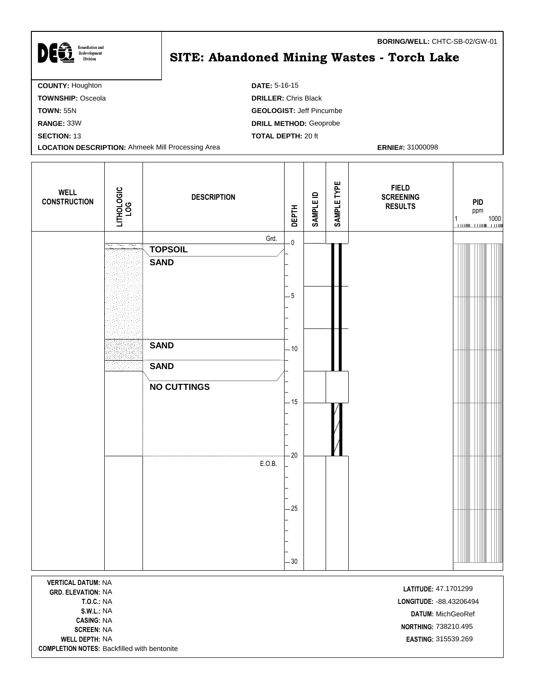| DES<br><b>Remediation and</b><br>Redevelopment<br><b>Division</b> | BORING/WELL: CHTC-SB-02/GW-01<br><b>SITE: Abandoned Mining Wastes - Torch Lake</b> |
|-------------------------------------------------------------------|------------------------------------------------------------------------------------|
| <b>COUNTY: Houghton</b>                                           | <b>DATE: 5-16-15</b>                                                               |
| <b>TOWNSHIP: Osceola</b>                                          | <b>DRILLER: Chris Black</b>                                                        |
| <b>TOWN: 55N</b>                                                  | <b>GEOLOGIST: Jeff Pincumbe</b>                                                    |
| RANGE: 33W                                                        | <b>DRILL METHOD: Geoprobe</b>                                                      |
| <b>SECTION: 13</b>                                                | <b>TOTAL DEPTH: 20 ft</b>                                                          |
| <b>LOCATION DESCRIPTION: Ahmeek Mill Processing Area</b>          | <b>ERNIE#: 31000098</b>                                                            |

| <b>WELL</b><br><b>CONSTRUCTION</b> | LITHOLOGIC<br>LOG                                      | <b>DESCRIPTION</b>         | <b>DEPTH</b>            | <b>SAMPLE ID</b> | SAMPLE TYPE | <b>FIELD</b><br><b>SCREENING</b><br><b>RESULTS</b> | <b>PID</b><br>ppm<br>$\begin{array}{c} 1 \\ \hline \end{array} \qquad \qquad \begin{array}{c} 1000 \\ \hline \end{array}$ |
|------------------------------------|--------------------------------------------------------|----------------------------|-------------------------|------------------|-------------|----------------------------------------------------|---------------------------------------------------------------------------------------------------------------------------|
|                                    | $\widetilde{\phantom{m}}$<br>$\widetilde{\phantom{m}}$ | Grd.<br><b>TOPSOIL</b>     | $\overline{\mathbf{0}}$ |                  |             |                                                    |                                                                                                                           |
|                                    |                                                        | <b>SAND</b>                |                         |                  |             |                                                    |                                                                                                                           |
|                                    |                                                        |                            | $-5$                    |                  |             |                                                    |                                                                                                                           |
|                                    |                                                        |                            |                         |                  |             |                                                    |                                                                                                                           |
|                                    |                                                        | <b>SAND</b><br><b>SAND</b> | $-10$                   |                  |             |                                                    |                                                                                                                           |
|                                    |                                                        | <b>NO CUTTINGS</b>         |                         |                  |             |                                                    |                                                                                                                           |
|                                    |                                                        |                            | $-15$                   |                  |             |                                                    |                                                                                                                           |
|                                    |                                                        | E.O.B.                     | $-20$                   |                  |             |                                                    |                                                                                                                           |
|                                    |                                                        |                            |                         |                  |             |                                                    |                                                                                                                           |
|                                    |                                                        |                            | $-25$                   |                  |             |                                                    |                                                                                                                           |
|                                    |                                                        |                            | 30                      |                  |             |                                                    |                                                                                                                           |
| <b>VERTICAL DATUM: NA</b>          |                                                        |                            |                         |                  |             |                                                    |                                                                                                                           |

47.1701299 NA **LATITUDE: GRD. ELEVATION: CASING:** NA **WELL DEPTH:** NA **EASTING:** 315539.269 **COMPLETION NOTES:** Backfilled with bentonite

**T.O.C.:** NA **LONGITUDE:** -88.43206494 **S.W.L.:** NA **DATUM:** MichGeoRef **NORTHING:** 738210.495<br>**SCREEN:** NA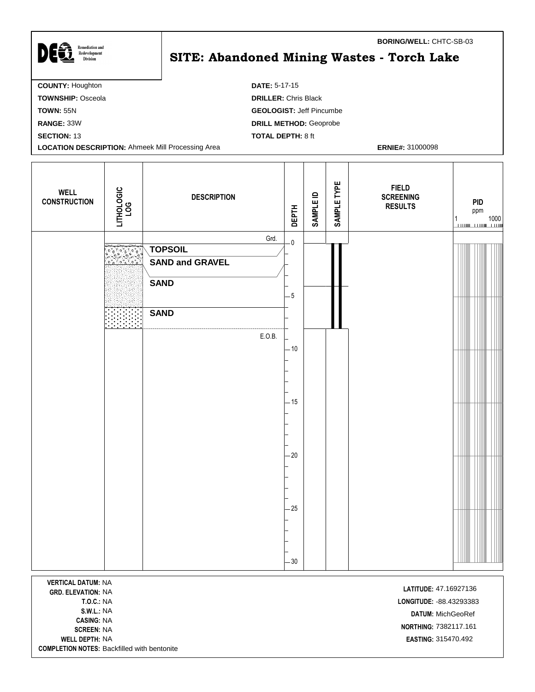| <b>COUNTY: Houghton</b><br><b>DATE: 5-17-15</b><br><b>DRILLER: Chris Black</b><br><b>TOWNSHIP: Osceola</b><br><b>GEOLOGIST: Jeff Pincumbe</b><br><b>TOWN: 55N</b><br><b>DRILL METHOD: Geoprobe</b><br>RANGE: 33W<br><b>TOTAL DEPTH: 8 ft</b><br><b>SECTION: 13</b><br><b>LOCATION DESCRIPTION: Ahmeek Mill Processing Area</b><br><b>ERNIE#: 31000098</b> | <b>Remediation and</b><br>Redevelopment<br><b>Division</b> | <b>BORING/WELL: CHTC-SB-03</b><br>SITE: Abandoned Mining Wastes - Torch Lake |
|-----------------------------------------------------------------------------------------------------------------------------------------------------------------------------------------------------------------------------------------------------------------------------------------------------------------------------------------------------------|------------------------------------------------------------|------------------------------------------------------------------------------|
|                                                                                                                                                                                                                                                                                                                                                           |                                                            |                                                                              |
|                                                                                                                                                                                                                                                                                                                                                           |                                                            |                                                                              |
|                                                                                                                                                                                                                                                                                                                                                           |                                                            |                                                                              |
|                                                                                                                                                                                                                                                                                                                                                           |                                                            |                                                                              |
|                                                                                                                                                                                                                                                                                                                                                           |                                                            |                                                                              |
|                                                                                                                                                                                                                                                                                                                                                           |                                                            |                                                                              |

| <b>WELL</b><br><b>CONSTRUCTION</b> | LITHOLOGIC<br>LOG | <b>DESCRIPTION</b>                                                             | <b>DEPTH</b>                    | <b>SAMPLE ID</b> | SAMPLE TYPE | <b>FIELD</b><br><b>SCREENING</b><br><b>RESULTS</b> | <b>PID</b><br>ppm<br>$\begin{array}{cccccc} 1 & 1000 \\ \hline \end{array}$ |
|------------------------------------|-------------------|--------------------------------------------------------------------------------|---------------------------------|------------------|-------------|----------------------------------------------------|-----------------------------------------------------------------------------|
|                                    |                   | Grd.<br><b>TOPSOIL</b><br><b>SAND and GRAVEL</b><br><b>SAND</b><br><b>SAND</b> | $\overline{\mathbf{0}}$<br>$-5$ |                  |             |                                                    |                                                                             |
|                                    |                   | E.O.B.                                                                         | $-10$<br>$-15$<br>$-20$         |                  |             |                                                    |                                                                             |
|                                    |                   |                                                                                | $-25$<br>$-30$                  |                  |             |                                                    |                                                                             |

**VERTICAL DATUM:** NA **LATITUDE:** 47.16927136 **CASING:** NA **WELL DEPTH:** NA **EASTING:** 315470.492 **COMPLETION NOTES:** Backfilled with bentonite

Г

**T.O.C.:** NA **LONGITUDE:** -88.43293383 **S.W.L.:** NA **DATUM:** MichGeoRef **NORTHING:** 7382117.161 **NORTHING:** 7382117.161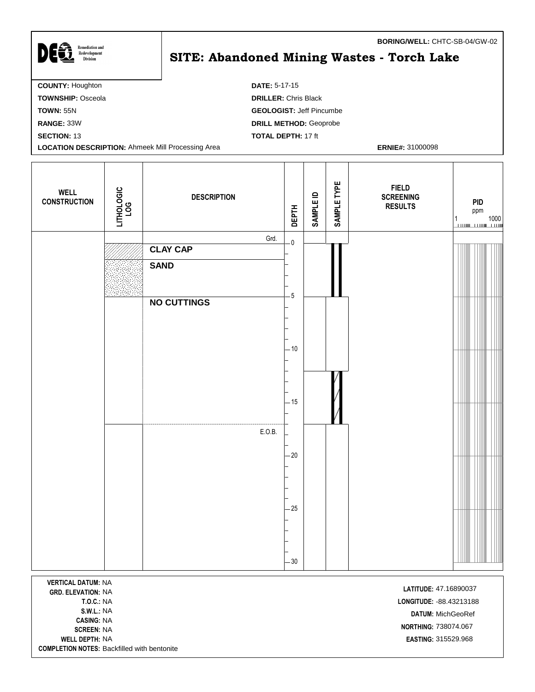| <b>Remediation and</b>                                   | BORING/WELL: CHTC-SB-04/GW-02              |
|----------------------------------------------------------|--------------------------------------------|
| DEst<br>Redevelopment<br><b>Division</b>                 | SITE: Abandoned Mining Wastes - Torch Lake |
|                                                          |                                            |
| <b>COUNTY: Houghton</b>                                  | <b>DATE: 5-17-15</b>                       |
| <b>TOWNSHIP: Osceola</b>                                 | <b>DRILLER: Chris Black</b>                |
| <b>TOWN: 55N</b>                                         | <b>GEOLOGIST: Jeff Pincumbe</b>            |
| RANGE: 33W                                               | <b>DRILL METHOD: Geoprobe</b>              |
| <b>SECTION: 13</b>                                       | <b>TOTAL DEPTH: 17 ft</b>                  |
| <b>LOCATION DESCRIPTION: Ahmeek Mill Processing Area</b> | <b>ERNIE#: 31000098</b>                    |

Т

| <b>WELL</b><br><b>CONSTRUCTION</b> | LITHOLOGIC<br>LOG | <b>DESCRIPTION</b> | <b>DEPTH</b>            | <b>SAMPLE ID</b> | SAMPLE TYPE | <b>FIELD</b><br><b>SCREENING</b><br><b>RESULTS</b> | PID<br>ppm<br>$\begin{array}{c c c c} 1 & 1000 \\ \hline \hline \hline \end{array}$ |
|------------------------------------|-------------------|--------------------|-------------------------|------------------|-------------|----------------------------------------------------|-------------------------------------------------------------------------------------|
|                                    |                   | Grd.               | $\overline{\mathbf{0}}$ |                  |             |                                                    |                                                                                     |
|                                    |                   | <b>CLAY CAP</b>    |                         |                  |             |                                                    |                                                                                     |
|                                    |                   | <b>SAND</b>        | $-5$                    |                  |             |                                                    |                                                                                     |
|                                    |                   | <b>NO CUTTINGS</b> | $-10$                   |                  |             |                                                    |                                                                                     |
|                                    |                   |                    | $-15$                   |                  |             |                                                    |                                                                                     |
|                                    |                   | E.O.B.             | $-20$                   |                  |             |                                                    |                                                                                     |
|                                    |                   |                    |                         |                  |             |                                                    |                                                                                     |
|                                    |                   |                    |                         |                  |             |                                                    |                                                                                     |
|                                    |                   |                    | $-25$<br>$-30$          |                  |             |                                                    |                                                                                     |

**VERTICAL DATUM:** NA **LATITUDE:** 47.16890037<br> **GRD. ELEVATION:** NA **CASING:** NA **WELL DEPTH:** NA **EASTING:** 315529.968 **COMPLETION NOTES:** Backfilled with bentonite

Г

**T.O.C.:** NA **LONGITUDE:** -88.43213188 **S.W.L.:** NA **DATUM:** MichGeoRef **238074.067**<br>**SCREEN:** NA **NORTHING:** 738074.067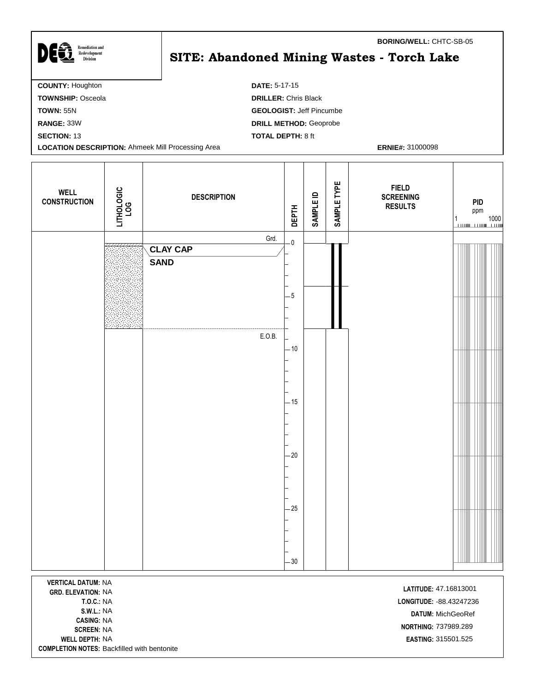| <b>Remediation and</b><br>Redevelopment<br><b>Division</b> | <b>BORING/WELL: CHTC-SB-05</b><br>SITE: Abandoned Mining Wastes - Torch Lake |
|------------------------------------------------------------|------------------------------------------------------------------------------|
| <b>COUNTY: Houghton</b>                                    | <b>DATE: 5-17-15</b>                                                         |
| <b>TOWNSHIP: Osceola</b>                                   | <b>DRILLER: Chris Black</b>                                                  |
| <b>TOWN: 55N</b>                                           | <b>GEOLOGIST: Jeff Pincumbe</b>                                              |
| <b>RANGE: 33W</b>                                          | <b>DRILL METHOD: Geoprobe</b>                                                |
| <b>SECTION: 13</b>                                         | <b>TOTAL DEPTH: 8 ft</b>                                                     |
| <b>LOCATION DESCRIPTION: Ahmeek Mill Processing Area</b>   | <b>ERNIE#: 31000098</b>                                                      |
|                                                            |                                                                              |

T

| <b>WELL</b><br><b>CONSTRUCTION</b> | LITHOLOGIC<br>LOG | <b>DESCRIPTION</b> | <b>DEPTH</b>            | <b>SAMPLE ID</b> | SAMPLE TYPE | <b>FIELD</b><br><b>SCREENING</b><br><b>RESULTS</b> | <b>PID</b><br>ppm<br>$\begin{array}{c} 1 \\ 1 \\ \hline \end{array}$ |
|------------------------------------|-------------------|--------------------|-------------------------|------------------|-------------|----------------------------------------------------|----------------------------------------------------------------------|
|                                    |                   | Grd.               | $\overline{\mathbf{0}}$ |                  |             |                                                    |                                                                      |
|                                    |                   | <b>CLAY CAP</b>    |                         |                  |             |                                                    |                                                                      |
|                                    |                   | <b>SAND</b>        |                         |                  |             |                                                    |                                                                      |
|                                    |                   |                    | $-5$                    |                  |             |                                                    |                                                                      |
|                                    |                   |                    |                         |                  |             |                                                    |                                                                      |
|                                    |                   | E.O.B.             |                         |                  |             |                                                    |                                                                      |
|                                    |                   |                    | $-10$                   |                  |             |                                                    |                                                                      |
|                                    |                   |                    |                         |                  |             |                                                    |                                                                      |
|                                    |                   |                    | $-15$                   |                  |             |                                                    |                                                                      |
|                                    |                   |                    |                         |                  |             |                                                    |                                                                      |
|                                    |                   |                    |                         |                  |             |                                                    |                                                                      |
|                                    |                   |                    | $-20$                   |                  |             |                                                    |                                                                      |
|                                    |                   |                    |                         |                  |             |                                                    |                                                                      |
|                                    |                   |                    |                         |                  |             |                                                    |                                                                      |
|                                    |                   |                    |                         |                  |             |                                                    |                                                                      |
|                                    |                   |                    | $-25$                   |                  |             |                                                    |                                                                      |
|                                    |                   |                    |                         |                  |             |                                                    |                                                                      |
|                                    |                   |                    |                         |                  |             |                                                    |                                                                      |
|                                    |                   |                    | $-30$                   |                  |             |                                                    |                                                                      |
| <b>MEDTICAL DATIIM, NIA</b>        |                   |                    |                         |                  |             |                                                    |                                                                      |

**VERTICAL DATUM:** NA **LATITUDE:** 47.16813001<br>**GRD. ELEVATION:** NA **CASING:** NA **WELL DEPTH:** NA **EASTING:** 315501.525 **COMPLETION NOTES:** Backfilled with bentonite

**T.O.C.:** NA **LONGITUDE:** -88.43247236 **S.W.L.:** NA **DATUM:** MichGeoRef **NORTHING:** 737989.289<br>**SCREEN:** NA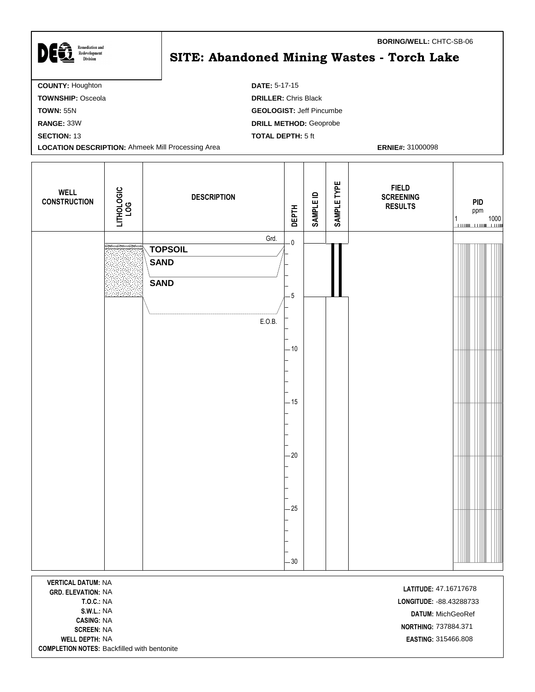| DEG<br><b>Remediation and</b><br>Redevelopment<br><b>Division</b> | <b>BORING/WELL: CHTC-SB-06</b><br><b>SITE: Abandoned Mining Wastes - Torch Lake</b> |
|-------------------------------------------------------------------|-------------------------------------------------------------------------------------|
| <b>COUNTY: Houghton</b>                                           | <b>DATE: 5-17-15</b>                                                                |
| <b>TOWNSHIP: Osceola</b>                                          | <b>DRILLER: Chris Black</b>                                                         |
| <b>TOWN: 55N</b>                                                  | <b>GEOLOGIST: Jeff Pincumbe</b>                                                     |
| RANGE: 33W                                                        | <b>DRILL METHOD: Geoprobe</b>                                                       |
| <b>SECTION: 13</b>                                                | <b>TOTAL DEPTH: 5 ft</b>                                                            |
| <b>LOCATION DESCRIPTION: Ahmeek Mill Processing Area</b>          | <b>ERNIE#: 31000098</b>                                                             |
|                                                                   |                                                                                     |

Τ

| <b>WELL</b><br><b>CONSTRUCTION</b> | LITHOLOGIC<br>LOG | <b>DESCRIPTION</b>         | <b>DEPTH</b>            | <b>SAMPLE ID</b> | SAMPLE TYPE | <b>FIELD</b><br><b>SCREENING</b><br><b>RESULTS</b> | PID<br>ppm<br>$\begin{array}{c c} 1 & 1000 \\ \hline \hline \end{array}$ |
|------------------------------------|-------------------|----------------------------|-------------------------|------------------|-------------|----------------------------------------------------|--------------------------------------------------------------------------|
|                                    |                   | Grd.<br><b>TOPSOIL</b>     | $\overline{\mathbf{0}}$ |                  |             |                                                    |                                                                          |
|                                    |                   | <b>SAND</b><br><b>SAND</b> |                         |                  |             |                                                    |                                                                          |
|                                    |                   |                            | $-5$                    |                  |             |                                                    |                                                                          |
|                                    |                   | E.O.B.                     |                         |                  |             |                                                    |                                                                          |
|                                    |                   |                            | $-10$                   |                  |             |                                                    |                                                                          |
|                                    |                   |                            |                         |                  |             |                                                    |                                                                          |
|                                    |                   |                            | $-15$                   |                  |             |                                                    |                                                                          |
|                                    |                   |                            | $-20$                   |                  |             |                                                    |                                                                          |
|                                    |                   |                            |                         |                  |             |                                                    |                                                                          |
|                                    |                   |                            | $-25$                   |                  |             |                                                    |                                                                          |
|                                    |                   |                            |                         |                  |             |                                                    |                                                                          |
|                                    |                   |                            | $-30$                   |                  |             |                                                    |                                                                          |
|                                    |                   |                            |                         |                  |             |                                                    |                                                                          |

**VERTICAL DATUM:** NA **LATITUDE:** 47.16717678<br>**GRD. ELEVATION:** NA **CASING:** NA **WELL DEPTH:** NA **EASTING:** 315466.808 **COMPLETION NOTES:** Backfilled with bentonite

**T.O.C.:** NA **LONGITUDE:** -88.43288733 **S.W.L.:** NA **DATUM:** MichGeoRef **NORTHING:** 737884.371 **SCREEN:** NA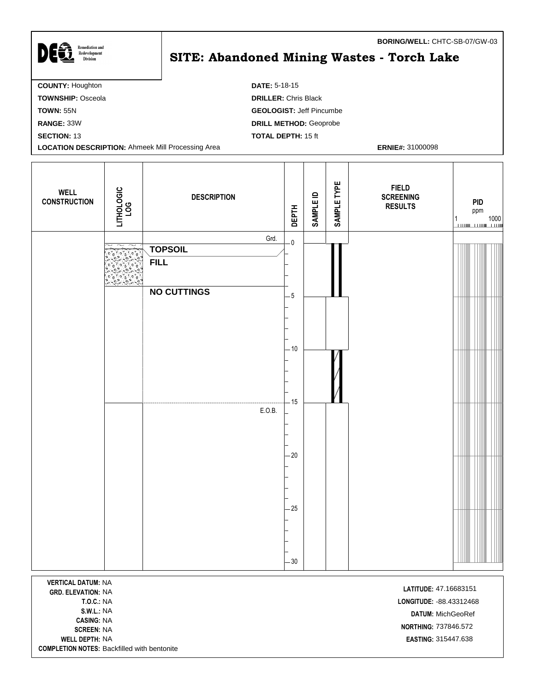| <b>Remediation and</b><br>Redevelopment<br><b>Division</b> | <b>BORING/WELL: CHTC-SB-07/GW-03</b><br>SITE: Abandoned Mining Wastes - Torch Lake |
|------------------------------------------------------------|------------------------------------------------------------------------------------|
| <b>COUNTY: Houghton</b>                                    | <b>DATE: 5-18-15</b>                                                               |
| <b>TOWNSHIP: Osceola</b>                                   | <b>DRILLER: Chris Black</b>                                                        |
| <b>TOWN: 55N</b>                                           | <b>GEOLOGIST: Jeff Pincumbe</b>                                                    |
| RANGE: 33W                                                 | <b>DRILL METHOD: Geoprobe</b>                                                      |
| <b>SECTION: 13</b>                                         | <b>TOTAL DEPTH: 15 ft</b>                                                          |
| <b>LOCATION DESCRIPTION: Ahmeek Mill Processing Area</b>   | <b>ERNIE#: 31000098</b>                                                            |

 $\mathbf l$ 

| <b>WELL</b><br><b>CONSTRUCTION</b> | LITHOLOGIC<br>LOG | <b>DESCRIPTION</b>     | <b>DEPTH</b>            | <b>SAMPLE ID</b> | SAMPLE TYPE | <b>FIELD</b><br><b>SCREENING</b><br><b>RESULTS</b> | <b>PID</b><br>ppm |
|------------------------------------|-------------------|------------------------|-------------------------|------------------|-------------|----------------------------------------------------|-------------------|
|                                    |                   | Grd.<br><b>TOPSOIL</b> | $\overline{\mathbf{0}}$ |                  |             |                                                    |                   |
|                                    |                   | <b>FILL</b>            |                         |                  |             |                                                    |                   |
|                                    |                   | <b>NO CUTTINGS</b>     | $-5$                    |                  |             |                                                    |                   |
|                                    |                   |                        |                         |                  |             |                                                    |                   |
|                                    |                   |                        | $-10$<br>$-15$          |                  |             |                                                    |                   |
|                                    |                   | E.O.B.                 | $-20$                   |                  |             |                                                    |                   |
|                                    |                   |                        | $-25$                   |                  |             |                                                    |                   |
|                                    |                   |                        | $-30$                   |                  |             |                                                    |                   |
| $\frac{1}{2}$                      |                   |                        |                         |                  |             |                                                    |                   |

**VERTICAL DATUM:** NA **LATITUDE:** 47.16683151 **CASING:** NA NA NORTHING: 7 **WELL DEPTH:** NA **EASTING:** 315447.638 **COMPLETION NOTES:** Backfilled with bentonite

**T.O.C.:** NA **LONGITUDE:** -88.43312468 **S.W.L.:** NA **DATUM:** MichGeoRef **NORTHING:** 737846.572<br>**SCREEN:** NA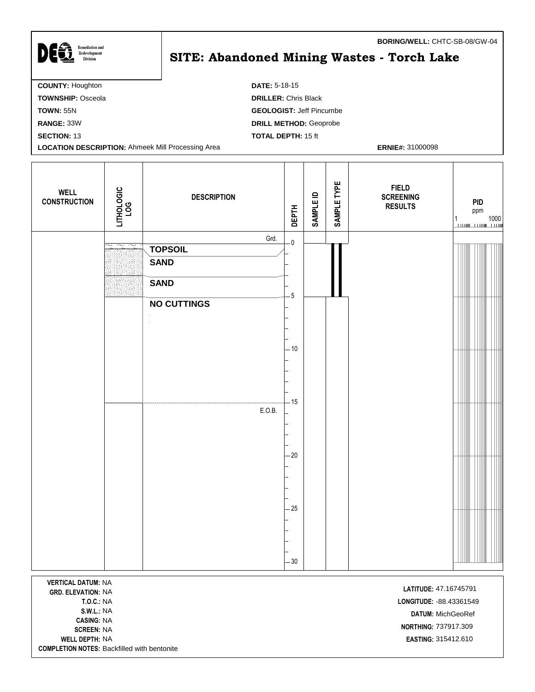| <b>Remediation and</b>                                   | BORING/WELL: CHTC-SB-08/GW-04              |
|----------------------------------------------------------|--------------------------------------------|
| <b>DEGT</b><br>Redevelopment<br><b>Division</b>          | SITE: Abandoned Mining Wastes - Torch Lake |
| <b>COUNTY: Houghton</b>                                  | <b>DATE: 5-18-15</b>                       |
| <b>TOWNSHIP: Osceola</b>                                 | <b>DRILLER: Chris Black</b>                |
| <b>TOWN: 55N</b>                                         | <b>GEOLOGIST: Jeff Pincumbe</b>            |
| RANGE: 33W                                               | <b>DRILL METHOD: Geoprobe</b>              |
| <b>SECTION: 13</b>                                       | <b>TOTAL DEPTH: 15 ft</b>                  |
| <b>LOCATION DESCRIPTION: Ahmeek Mill Processing Area</b> | <b>ERNIE#: 31000098</b>                    |

T

| <b>WELL</b><br><b>CONSTRUCTION</b>                     | LITHOLOGIC<br>LOG                                    | <b>DESCRIPTION</b> | <b>DEPTH</b>            | <b>SAMPLE ID</b> | SAMPLE TYPE | <b>FIELD</b><br><b>SCREENING</b><br><b>RESULTS</b> | <b>PID</b><br>ppm |
|--------------------------------------------------------|------------------------------------------------------|--------------------|-------------------------|------------------|-------------|----------------------------------------------------|-------------------|
|                                                        | $\overline{\phantom{a}}$<br>$\overline{\phantom{m}}$ | Grd.               | $\overline{\mathbf{0}}$ |                  |             |                                                    |                   |
|                                                        |                                                      | <b>TOPSOIL</b>     |                         |                  |             |                                                    |                   |
|                                                        |                                                      | <b>SAND</b>        |                         |                  |             |                                                    |                   |
|                                                        |                                                      | <b>SAND</b>        |                         |                  |             |                                                    |                   |
|                                                        |                                                      | <b>NO CUTTINGS</b> | $-5$                    |                  |             |                                                    |                   |
|                                                        |                                                      |                    |                         |                  |             |                                                    |                   |
|                                                        |                                                      |                    |                         |                  |             |                                                    |                   |
|                                                        |                                                      |                    | $-10$                   |                  |             |                                                    |                   |
|                                                        |                                                      |                    |                         |                  |             |                                                    |                   |
|                                                        |                                                      |                    |                         |                  |             |                                                    |                   |
|                                                        |                                                      |                    |                         |                  |             |                                                    |                   |
|                                                        |                                                      | E.O.B.             | $-15$                   |                  |             |                                                    |                   |
|                                                        |                                                      |                    |                         |                  |             |                                                    |                   |
|                                                        |                                                      |                    |                         |                  |             |                                                    |                   |
|                                                        |                                                      |                    | $-20$                   |                  |             |                                                    |                   |
|                                                        |                                                      |                    |                         |                  |             |                                                    |                   |
|                                                        |                                                      |                    |                         |                  |             |                                                    |                   |
|                                                        |                                                      |                    |                         |                  |             |                                                    |                   |
|                                                        |                                                      |                    | $-25$                   |                  |             |                                                    |                   |
|                                                        |                                                      |                    |                         |                  |             |                                                    |                   |
|                                                        |                                                      |                    |                         |                  |             |                                                    |                   |
|                                                        |                                                      |                    |                         |                  |             |                                                    |                   |
|                                                        |                                                      |                    | $-30$                   |                  |             |                                                    |                   |
| <b>VERTICAL DATUM: NA</b><br><b>GRD. ELEVATION: NA</b> |                                                      |                    |                         |                  |             | LATITUDE: 47.16745791                              |                   |

**CASING:** NA **SCREEN:** NA<br>**SCREEN:** NA **WELL DEPTH:** NA **EASTING:** 315412.610 **COMPLETION NOTES:** Backfilled with bentonite

**T.O.C.:** NA **LONGITUDE:** -88.43361549 **S.W.L.:** NA **DATUM:** MichGeoRef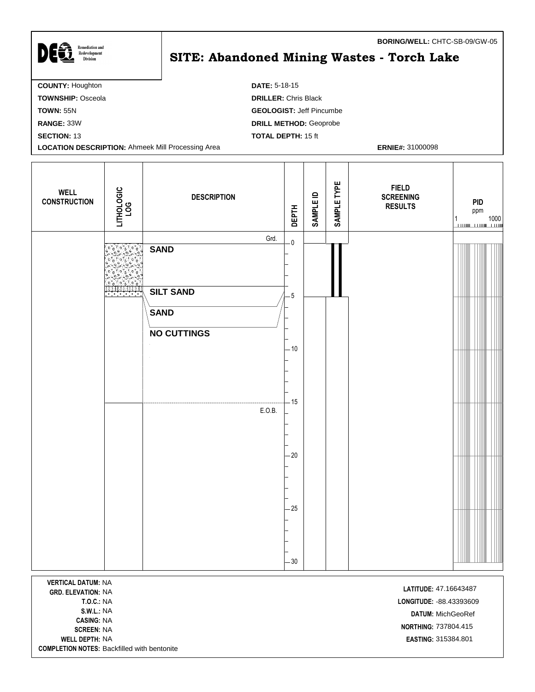| <b>COUNTY: Houghton</b><br><b>DATE: 5-18-15</b>                                     | <b>Remediation and</b><br>Redevelopment<br><b>Division</b> | <b>BORING/WELL: CHTC-SB-09/GW-05</b><br>SITE: Abandoned Mining Wastes - Torch Lake |
|-------------------------------------------------------------------------------------|------------------------------------------------------------|------------------------------------------------------------------------------------|
|                                                                                     |                                                            |                                                                                    |
| <b>TOWNSHIP: Osceola</b><br><b>DRILLER: Chris Black</b>                             |                                                            |                                                                                    |
| <b>GEOLOGIST: Jeff Pincumbe</b><br><b>TOWN: 55N</b>                                 |                                                            |                                                                                    |
| <b>DRILL METHOD: Geoprobe</b><br>RANGE: 33W                                         |                                                            |                                                                                    |
| <b>TOTAL DEPTH: 15 ft</b><br><b>SECTION: 13</b>                                     |                                                            |                                                                                    |
| <b>LOCATION DESCRIPTION: Ahmeek Mill Processing Area</b><br><b>ERNIE#: 31000098</b> |                                                            |                                                                                    |

 $\mathbf l$ 

| <b>WELL</b><br><b>CONSTRUCTION</b>                     | LITHOLOGIC<br>LOG    | <b>DESCRIPTION</b>              | <b>DEPTH</b>            | <b>SAMPLE ID</b> | SAMPLE TYPE | <b>FIELD</b><br><b>SCREENING</b><br><b>RESULTS</b> | <b>PID</b><br>ppm<br>$\begin{array}{c} 1 \\ \hline \end{array} \qquad \qquad \begin{array}{c} 1000 \\ \hline \end{array}$ |
|--------------------------------------------------------|----------------------|---------------------------------|-------------------------|------------------|-------------|----------------------------------------------------|---------------------------------------------------------------------------------------------------------------------------|
|                                                        |                      | Grd.<br><b>SAND</b>             | $\overline{\mathbf{0}}$ |                  |             |                                                    |                                                                                                                           |
|                                                        | <u> Alexandria (</u> | <b>SILT SAND</b><br><b>SAND</b> | $-5$                    |                  |             |                                                    |                                                                                                                           |
|                                                        |                      | <b>NO CUTTINGS</b>              | $-10$                   |                  |             |                                                    |                                                                                                                           |
|                                                        |                      | E.O.B.                          | - 15                    |                  |             |                                                    |                                                                                                                           |
|                                                        |                      |                                 | $-20$                   |                  |             |                                                    |                                                                                                                           |
|                                                        |                      |                                 | $-25$                   |                  |             |                                                    |                                                                                                                           |
|                                                        |                      |                                 |                         |                  |             |                                                    |                                                                                                                           |
| <b>VERTICAL DATUM: NA</b><br><b>GRD. ELEVATION: NA</b> |                      |                                 | $-30$                   |                  |             | LATITUDE: 47.16643487                              |                                                                                                                           |

**CASING:** NA **WELL DEPTH:** NA **EASTING:** 315384.801 **COMPLETION NOTES:** Backfilled with bentonite

**T.O.C.:** NA **LONGITUDE:** -88.43393609 **S.W.L.:** NA **DATUM:** MichGeoRef **NORTHING:** 737804.415<br>**SCREEN:** NA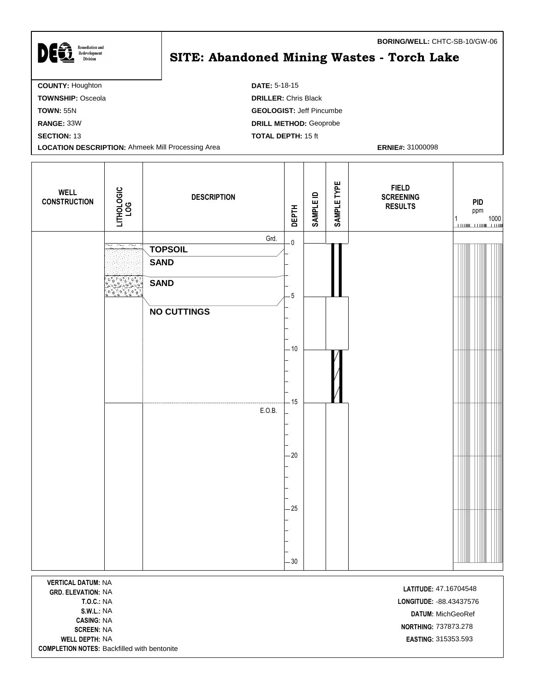| <b>Remediation and</b><br>Redevelopment<br><b>Division</b> | <b>BORING/WELL: CHTC-SB-10/GW-06</b><br><b>SITE: Abandoned Mining Wastes - Torch Lake</b> |
|------------------------------------------------------------|-------------------------------------------------------------------------------------------|
| <b>COUNTY: Houghton</b>                                    | <b>DATE: 5-18-15</b>                                                                      |
| <b>TOWNSHIP: Osceola</b>                                   | <b>DRILLER: Chris Black</b>                                                               |
| <b>TOWN: 55N</b>                                           | <b>GEOLOGIST: Jeff Pincumbe</b>                                                           |
| <b>RANGE: 33W</b>                                          | <b>DRILL METHOD: Geoprobe</b>                                                             |
| <b>SECTION: 13</b>                                         | <b>TOTAL DEPTH: 15 ft</b>                                                                 |
| <b>LOCATION DESCRIPTION: Ahmeek Mill Processing Area</b>   | <b>ERNIE#: 31000098</b>                                                                   |

| <b>WELL</b><br><b>CONSTRUCTION</b> | LITHOLOGIC<br>LOG                                    | <b>DESCRIPTION</b>     | <b>DEPTH</b>            | <b>SAMPLE ID</b> | SAMPLE TYPE | <b>FIELD</b><br><b>SCREENING</b><br><b>RESULTS</b> | <b>PID</b><br>ppm |  |
|------------------------------------|------------------------------------------------------|------------------------|-------------------------|------------------|-------------|----------------------------------------------------|-------------------|--|
|                                    | $\overline{\phantom{1}}$<br>$\overline{\phantom{1}}$ | Grd.<br><b>TOPSOIL</b> | $\overline{\mathbf{0}}$ |                  |             |                                                    |                   |  |
|                                    |                                                      | <b>SAND</b>            |                         |                  |             |                                                    |                   |  |
|                                    |                                                      | <b>SAND</b>            | $-5$                    |                  |             |                                                    |                   |  |
|                                    |                                                      | <b>NO CUTTINGS</b>     |                         |                  |             |                                                    |                   |  |
|                                    |                                                      |                        | $-10$                   |                  |             |                                                    |                   |  |
|                                    |                                                      |                        | $-15$                   |                  |             |                                                    |                   |  |
|                                    |                                                      | E.O.B.                 |                         |                  |             |                                                    |                   |  |
|                                    |                                                      |                        | $-20$                   |                  |             |                                                    |                   |  |
|                                    |                                                      |                        | $-25$                   |                  |             |                                                    |                   |  |
| <b>VEDTICAL DATIIM, NIA</b>        |                                                      |                        | $-30$                   |                  |             |                                                    |                   |  |

**VERTICAL DATUM:** NA <sup>8</sup> NA **LATITUDE: GRD. ELEVATION:** 47.1670454 **CASING:** NA **WELL DEPTH:** NA **EASTING:** 315353.593 **COMPLETION NOTES:** Backfilled with bentonite

Г

**T.O.C.:** NA **LONGITUDE:** -88.43437576 **S.W.L.:** NA **DATUM:** MichGeoRef **NORTHING:** 737873.278<br>**SCREEN:** NA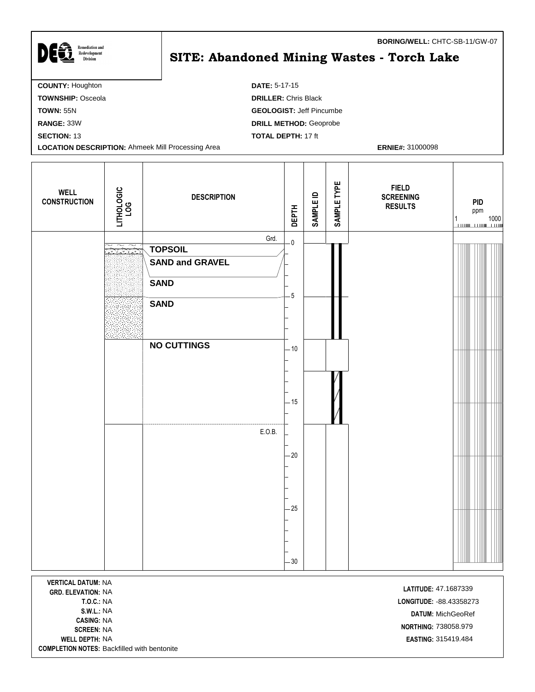| <b>COUNTY: Houghton</b><br><b>DATE: 5-17-15</b>                                     | <b>Remediation and</b><br>Redevelopment<br><b>Division</b> | BORING/WELL: CHTC-SB-11/GW-07<br>SITE: Abandoned Mining Wastes - Torch Lake |
|-------------------------------------------------------------------------------------|------------------------------------------------------------|-----------------------------------------------------------------------------|
|                                                                                     |                                                            |                                                                             |
|                                                                                     | <b>TOWNSHIP: Osceola</b>                                   | <b>DRILLER: Chris Black</b>                                                 |
| <b>GEOLOGIST: Jeff Pincumbe</b><br><b>TOWN: 55N</b>                                 |                                                            |                                                                             |
| <b>DRILL METHOD: Geoprobe</b><br>RANGE: 33W                                         |                                                            |                                                                             |
| <b>TOTAL DEPTH: 17 ft</b><br><b>SECTION: 13</b>                                     |                                                            |                                                                             |
| <b>LOCATION DESCRIPTION: Ahmeek Mill Processing Area</b><br><b>ERNIE#: 31000098</b> |                                                            |                                                                             |

Т

| <b>WELL</b><br><b>CONSTRUCTION</b> | LITHOLOGIC<br>LOG | <b>DESCRIPTION</b>     | <b>DEPTH</b>            | SAMPLE ID | SAMPLE TYPE | <b>FIELD</b><br><b>SCREENING</b><br><b>RESULTS</b> | PID<br>ppm<br>$\begin{array}{c c} 1 & 1000 \\ \hline \end{array}$ |
|------------------------------------|-------------------|------------------------|-------------------------|-----------|-------------|----------------------------------------------------|-------------------------------------------------------------------|
|                                    | $\sim$            | Grd.<br><b>TOPSOIL</b> | $\overline{\mathbf{0}}$ |           |             |                                                    |                                                                   |
|                                    |                   | <b>SAND and GRAVEL</b> |                         |           |             |                                                    |                                                                   |
|                                    |                   | <b>SAND</b>            |                         |           |             |                                                    |                                                                   |
|                                    |                   | <b>SAND</b>            | $-5$                    |           |             |                                                    |                                                                   |
|                                    |                   | <b>NO CUTTINGS</b>     | $-10$                   |           |             |                                                    |                                                                   |
|                                    |                   |                        | $-15$                   |           |             |                                                    |                                                                   |
|                                    |                   | E.O.B.                 |                         |           |             |                                                    |                                                                   |
|                                    |                   |                        | $-20$                   |           |             |                                                    |                                                                   |
|                                    |                   |                        |                         |           |             |                                                    |                                                                   |
|                                    |                   |                        | $-25$                   |           |             |                                                    |                                                                   |
|                                    |                   |                        | $-30$                   |           |             |                                                    |                                                                   |
| <b>VERTICAL DATUM: NA</b>          |                   |                        |                         |           |             |                                                    |                                                                   |

**LATITUDE:** 47.1687339<br>**GRD. ELEVATION:** NA **CASING:** NA **WELL DEPTH:** NA **EASTING:** 315419.484 **COMPLETION NOTES:** Backfilled with bentonite

Г

**T.O.C.:** NA **LONGITUDE:** -88.43358273 **S.W.L.:** NA **DATUM:** MichGeoRef **NORTHING:** 738058.979<br>**SCREEN:** NA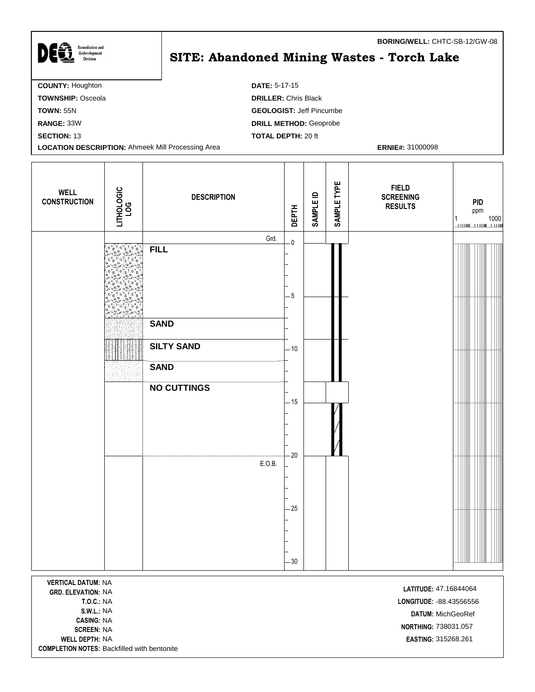| <b>Remediation and</b>                                   | <b>BORING/WELL: CHTC-SB-12/GW-08</b>       |
|----------------------------------------------------------|--------------------------------------------|
| Redevelopment<br><b>Division</b>                         | SITE: Abandoned Mining Wastes - Torch Lake |
| <b>COUNTY: Houghton</b>                                  | <b>DATE: 5-17-15</b>                       |
| <b>TOWNSHIP: Osceola</b>                                 | <b>DRILLER: Chris Black</b>                |
| <b>TOWN: 55N</b>                                         | <b>GEOLOGIST: Jeff Pincumbe</b>            |
| RANGE: 33W                                               | <b>DRILL METHOD: Geoprobe</b>              |
| <b>SECTION: 13</b>                                       | <b>TOTAL DEPTH: 20 ft</b>                  |
| <b>LOCATION DESCRIPTION: Ahmeek Mill Processing Area</b> | <b>ERNIE#: 31000098</b>                    |

| <b>WELL</b><br><b>CONSTRUCTION</b>                                                                                                        | LITHOLOGIC<br>LOG | <b>DESCRIPTION</b> | <b>DEPTH</b>            | <b>SAMPLE ID</b> | SAMPLE TYPE | <b>FIELD</b><br><b>SCREENING</b><br><b>RESULTS</b> | <b>PID</b><br>ppm<br>1000<br>1 |
|-------------------------------------------------------------------------------------------------------------------------------------------|-------------------|--------------------|-------------------------|------------------|-------------|----------------------------------------------------|--------------------------------|
|                                                                                                                                           |                   | Grd.               | $\overline{\mathbf{0}}$ |                  |             |                                                    |                                |
|                                                                                                                                           |                   | <b>FILL</b>        | $-5$                    |                  |             |                                                    |                                |
|                                                                                                                                           |                   | <b>SAND</b>        |                         |                  |             |                                                    |                                |
|                                                                                                                                           |                   | <b>SILTY SAND</b>  | $-10$                   |                  |             |                                                    |                                |
|                                                                                                                                           |                   | <b>SAND</b>        |                         |                  |             |                                                    |                                |
|                                                                                                                                           |                   | <b>NO CUTTINGS</b> |                         |                  |             |                                                    |                                |
|                                                                                                                                           |                   |                    | $-15$<br>$-20$          |                  |             |                                                    |                                |
|                                                                                                                                           |                   | E.O.B.             | $-25$                   |                  |             |                                                    |                                |
|                                                                                                                                           |                   |                    |                         |                  |             |                                                    |                                |
| $-30$<br><b>VERTICAL DATUM: NA</b><br>LATITUDE: 47.16844064<br><b>GRD. ELEVATION: NA</b><br><b>T.O.C.: NA</b><br>LONGITUDE: - 88.43556556 |                   |                    |                         |                  |             |                                                    |                                |

**CASING:** NA **NORTHING:** 738031.057<br>**SCREEN:** NA **WELL DEPTH:** NA **EASTING:** 315268.261 **COMPLETION NOTES:** Backfilled with bentonite

**S.W.L.:** NA **DATUM:** MichGeoRef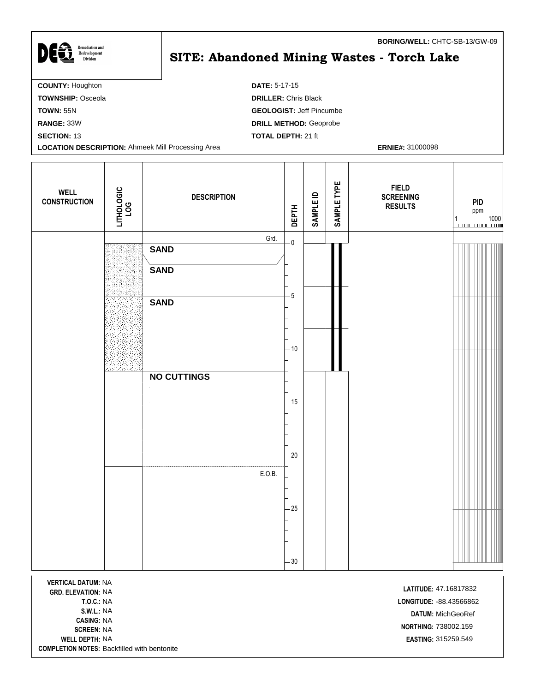| <b>Remediation and</b>                                   | <b>BORING/WELL: CHTC-SB-13/GW-09</b>       |
|----------------------------------------------------------|--------------------------------------------|
| DEET<br>Redevelopment<br><b>Division</b>                 | SITE: Abandoned Mining Wastes - Torch Lake |
| <b>COUNTY: Houghton</b>                                  | <b>DATE: 5-17-15</b>                       |
| <b>TOWNSHIP: Osceola</b>                                 | <b>DRILLER: Chris Black</b>                |
| <b>TOWN: 55N</b>                                         | <b>GEOLOGIST: Jeff Pincumbe</b>            |
| RANGE: 33W                                               | <b>DRILL METHOD: Geoprobe</b>              |
| <b>SECTION: 13</b>                                       | <b>TOTAL DEPTH: 21 ft</b>                  |
| <b>LOCATION DESCRIPTION: Ahmeek Mill Processing Area</b> | <b>ERNIE#: 31000098</b>                    |

| <b>WELL</b><br><b>CONSTRUCTION</b> | LITHOLOGIC<br>LOG | <b>DESCRIPTION</b>  | <b>DEPTH</b>            | <b>SAMPLE ID</b> | SAMPLE TYPE | <b>FIELD</b><br><b>SCREENING</b><br><b>RESULTS</b> | <b>PID</b><br>ppm<br>$\begin{array}{c} 1 \\ \hline \end{array} \qquad \qquad \begin{array}{c} 1000 \\ \hline \end{array}$ |
|------------------------------------|-------------------|---------------------|-------------------------|------------------|-------------|----------------------------------------------------|---------------------------------------------------------------------------------------------------------------------------|
|                                    |                   | Grd.<br><b>SAND</b> | $\overline{\mathbf{0}}$ |                  |             |                                                    |                                                                                                                           |
|                                    |                   | <b>SAND</b>         |                         |                  |             |                                                    |                                                                                                                           |
|                                    |                   | <b>SAND</b>         | $-5$                    |                  |             |                                                    |                                                                                                                           |
|                                    |                   |                     | $-10$                   |                  |             |                                                    |                                                                                                                           |
|                                    |                   | <b>NO CUTTINGS</b>  | $-15$                   |                  |             |                                                    |                                                                                                                           |
|                                    |                   |                     |                         |                  |             |                                                    |                                                                                                                           |
|                                    |                   | E.O.B.              | $-20$                   |                  |             |                                                    |                                                                                                                           |
|                                    |                   |                     | $-25$                   |                  |             |                                                    |                                                                                                                           |
| <b>MEDTICAL BATHM, NIA</b>         |                   |                     | $-30$                   |                  |             |                                                    |                                                                                                                           |

**VERTICAL DATUM:** NA **LATITUDE:** 47.16817832<br>**GRD. ELEVATION:** NA **CASING:** NA **WELL DEPTH:** NA **EASTING:** 315259.549 **COMPLETION NOTES:** Backfilled with bentonite

**T.O.C.:** NA **LONGITUDE:** -88.43566862 **S.W.L.:** NA **DATUM:** MichGeoRef **SCREEN:** NA<br>**SCREEN:** NA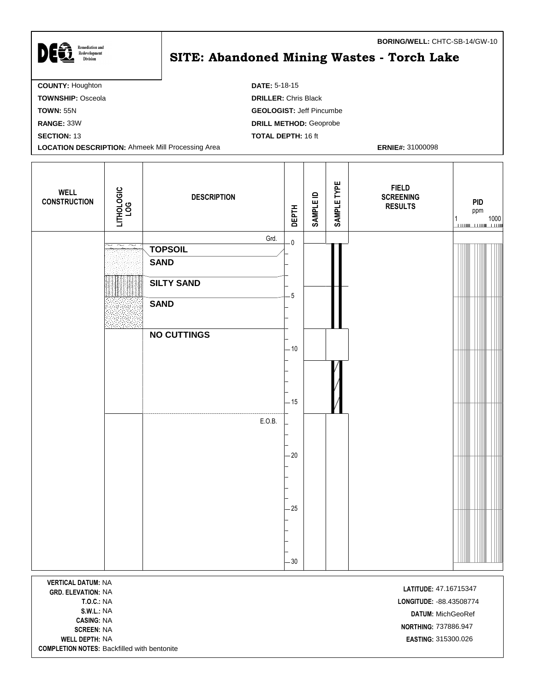| <b>Remediation and</b>                                   |                                                   | <b>BORING/WELL: CHTC-SB-14/GW-10</b> |
|----------------------------------------------------------|---------------------------------------------------|--------------------------------------|
| DEĜ<br>Redevelopment<br><b>Division</b>                  | <b>SITE: Abandoned Mining Wastes - Torch Lake</b> |                                      |
| <b>COUNTY: Houghton</b>                                  | <b>DATE: 5-18-15</b>                              |                                      |
| <b>TOWNSHIP: Osceola</b>                                 | <b>DRILLER: Chris Black</b>                       |                                      |
| <b>TOWN: 55N</b>                                         | <b>GEOLOGIST: Jeff Pincumbe</b>                   |                                      |
| RANGE: 33W                                               | <b>DRILL METHOD: Geoprobe</b>                     |                                      |
| <b>SECTION: 13</b>                                       | <b>TOTAL DEPTH: 16 ft</b>                         |                                      |
| <b>LOCATION DESCRIPTION: Ahmeek Mill Processing Area</b> |                                                   | <b>ERNIE#: 31000098</b>              |

| <b>WELL</b><br><b>CONSTRUCTION</b> | LITHOLOGIC<br>LOG                                        | <b>DESCRIPTION</b>                    | <b>DEPTH</b>            | SAMPLE ID | SAMPLE TYPE | <b>FIELD</b><br><b>SCREENING</b><br><b>RESULTS</b> | <b>PID</b><br>ppm<br>$\frac{1}{1}$ 1000 |
|------------------------------------|----------------------------------------------------------|---------------------------------------|-------------------------|-----------|-------------|----------------------------------------------------|-----------------------------------------|
|                                    | $\overline{\phantom{a}}$ $\sim$ $\overline{\phantom{a}}$ | Grd.<br><b>TOPSOIL</b><br><b>SAND</b> | $\overline{\mathbf{0}}$ |           |             |                                                    |                                         |
|                                    |                                                          | <b>SILTY SAND</b>                     |                         |           |             |                                                    |                                         |
|                                    |                                                          | <b>SAND</b>                           | $-5$                    |           |             |                                                    |                                         |
|                                    |                                                          | <b>NO CUTTINGS</b>                    | $-10$                   |           |             |                                                    |                                         |
|                                    |                                                          |                                       |                         |           |             |                                                    |                                         |
|                                    |                                                          |                                       | $-15$                   |           |             |                                                    |                                         |
|                                    |                                                          | E.O.B.                                |                         |           |             |                                                    |                                         |
|                                    |                                                          |                                       | $-20$                   |           |             |                                                    |                                         |
|                                    |                                                          |                                       | $-25$                   |           |             |                                                    |                                         |
|                                    |                                                          |                                       |                         |           |             |                                                    |                                         |
|                                    |                                                          |                                       | $-30$                   |           |             |                                                    |                                         |

**VERTICAL DATUM:** NA **LATITUDE:** 47.16715347<br>**GRD. ELEVATION:** NA **CASING:** NA **WELL DEPTH:** NA **EASTING:** 315300.026 **COMPLETION NOTES:** Backfilled with bentonite

**T.O.C.:** NA **LONGITUDE:** -88.43508774 **S.W.L.:** NA **DATUM:** MichGeoRef **NORTHING:** 737886.947<br>**SCREEN:** NA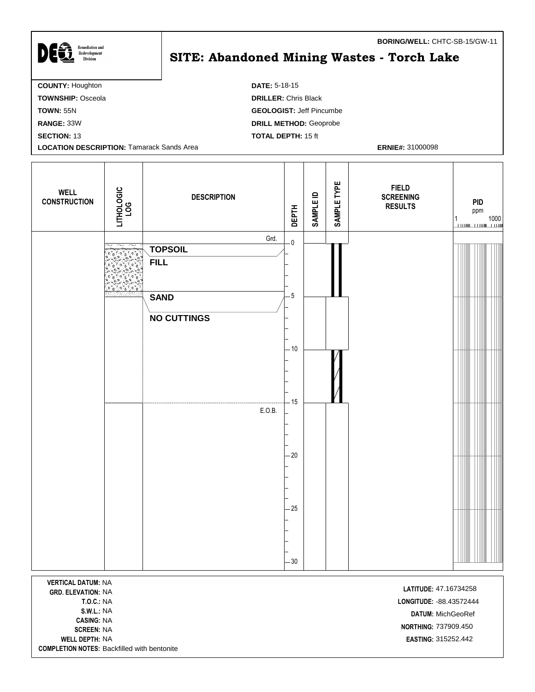| DEG<br><b>Remediation and</b><br>Redevelopment<br><b>Division</b> | <b>BORING/WELL:</b> CHTC-SB-15/GW-TT<br>SITE: Abandoned Mining Wastes - Torch Lake |
|-------------------------------------------------------------------|------------------------------------------------------------------------------------|
| <b>COUNTY: Houghton</b>                                           | <b>DATE: 5-18-15</b>                                                               |
| <b>TOWNSHIP: Osceola</b>                                          | <b>DRILLER: Chris Black</b>                                                        |
| <b>TOWN: 55N</b>                                                  | <b>GEOLOGIST: Jeff Pincumbe</b>                                                    |
| RANGE: 33W                                                        | <b>DRILL METHOD: Geoprobe</b>                                                      |
| <b>SECTION: 13</b>                                                | <b>TOTAL DEPTH: 15 ft</b>                                                          |
| <b>LOCATION DESCRIPTION: Tamarack Sands Area</b>                  | <b>ERNIE#: 31000098</b>                                                            |
|                                                                   |                                                                                    |

| <b>WELL</b><br><b>CONSTRUCTION</b> | LITHOLOGIC<br>LOG                                 | <b>DESCRIPTION</b>     | <b>DEPTH</b>            | SAMPLE ID | SAMPLE TYPE | <b>FIELD</b><br><b>SCREENING</b><br><b>RESULTS</b> | PID<br>ppm |
|------------------------------------|---------------------------------------------------|------------------------|-------------------------|-----------|-------------|----------------------------------------------------|------------|
|                                    |                                                   | Grd.<br><b>TOPSOIL</b> | $\overline{\mathbf{0}}$ |           |             |                                                    |            |
|                                    |                                                   | <b>FILL</b>            |                         |           |             |                                                    |            |
|                                    | ر 5∘ مي∀∘ مي∀∘ مو<br><mark>'نان 'نان 'ن</mark> ان |                        |                         |           |             |                                                    |            |
|                                    |                                                   | <b>SAND</b>            | - 5                     |           |             |                                                    |            |
|                                    |                                                   | <b>NO CUTTINGS</b>     |                         |           |             |                                                    |            |
|                                    |                                                   |                        |                         |           |             |                                                    |            |
|                                    |                                                   |                        | $-10$                   |           |             |                                                    |            |
|                                    |                                                   |                        | $-15$                   |           |             |                                                    |            |
|                                    |                                                   | E.O.B.                 |                         |           |             |                                                    |            |
|                                    |                                                   |                        |                         |           |             |                                                    |            |
|                                    |                                                   |                        | $-20$                   |           |             |                                                    |            |
|                                    |                                                   |                        |                         |           |             |                                                    |            |
|                                    |                                                   |                        |                         |           |             |                                                    |            |
|                                    |                                                   |                        | $-25$                   |           |             |                                                    |            |
|                                    |                                                   |                        |                         |           |             |                                                    |            |
|                                    |                                                   |                        | $-30$                   |           |             |                                                    |            |
| <b>VERTICAL DATIIM. NA</b>         |                                                   |                        |                         |           |             |                                                    |            |

**VERTICAL DATUM:** NA **LATITUDE:** 47.16734258<br>**GRD. ELEVATION:** NA **CASING:** NA **WELL DEPTH:** NA **EASTING:** 315252.442 **COMPLETION NOTES:** Backfilled with bentonite

**T.O.C.:** NA **LONGITUDE:** -88.43572444 **S.W.L.:** NA **DATUM:** MichGeoRef **NORTHING:** 737909.450<br>**SCREEN:** NA

**BORING/WELL:** CHTC-SB-15/GW-11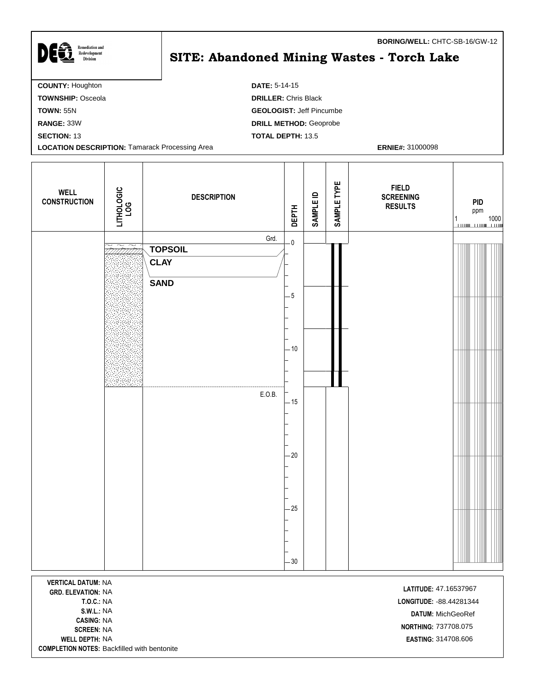| <b>Remediation and</b><br>DEE<br>Redevelopment<br>Division | <b>BORING/WELL: CHTC-SB-16/GW-12</b><br><b>SITE: Abandoned Mining Wastes - Torch Lake</b> |
|------------------------------------------------------------|-------------------------------------------------------------------------------------------|
| <b>COUNTY: Houghton</b>                                    | <b>DATE: 5-14-15</b>                                                                      |
| <b>TOWNSHIP: Osceola</b>                                   | <b>DRILLER: Chris Black</b>                                                               |
| <b>TOWN: 55N</b>                                           | <b>GEOLOGIST: Jeff Pincumbe</b>                                                           |
| RANGE: 33W                                                 | <b>DRILL METHOD: Geoprobe</b>                                                             |
| <b>SECTION: 13</b>                                         | <b>TOTAL DEPTH: 13.5</b>                                                                  |
| <b>LOCATION DESCRIPTION: Tamarack Processing Area</b>      | <b>ERNIE#: 31000098</b>                                                                   |

Т

| <b>WELL</b><br><b>CONSTRUCTION</b> | LITHOLOGIC<br>LOG                                           | <b>DESCRIPTION</b>                                             | <b>DEPTH</b>                                                                 | <b>SAMPLE ID</b> | SAMPLE TYPE | <b>FIELD</b><br><b>SCREENING</b><br><b>RESULTS</b> | PID<br>ppm<br>$\begin{array}{c} 1 \\ \hline \end{array} \qquad \qquad \begin{array}{c} 1000 \\ \hline \end{array}$ |
|------------------------------------|-------------------------------------------------------------|----------------------------------------------------------------|------------------------------------------------------------------------------|------------------|-------------|----------------------------------------------------|--------------------------------------------------------------------------------------------------------------------|
|                                    | $\widetilde{\phantom{m}}$<br>$\widetilde{\phantom{m}}$<br>ب | Grd.<br><b>TOPSOIL</b><br><b>CLAY</b><br><b>SAND</b><br>E.O.B. | $\overline{\mathbf{0}}$<br>$-5$<br>$-10$<br>$-15$<br>$-20$<br>$-25$<br>$-30$ |                  |             |                                                    |                                                                                                                    |

**VERTICAL DATUM:** NA **LATITUDE:** 47.16537967<br> **GRD. ELEVATION:** NA **CASING:** NA **WELL DEPTH:** NA **EASTING:** 314708.606 **COMPLETION NOTES:** Backfilled with bentonite

Г

**T.O.C.:** NA **LONGITUDE:** -88.44281344 **S.W.L.:** NA **DATUM:** MichGeoRef **SCREEN:** NA<br>**SCREEN:** NA<br>**SCREEN:** NA

٦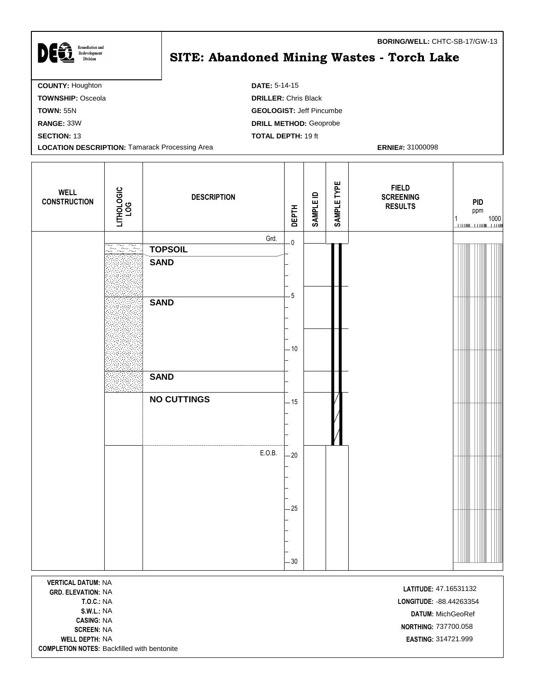| DEG<br><b>Remediation and</b><br>Redevelopment<br><b>Division</b> | <b>BORING/WELL: CHTC-SB-17/GW-13</b><br>SITE: Abandoned Mining Wastes - Torch Lake |
|-------------------------------------------------------------------|------------------------------------------------------------------------------------|
| <b>COUNTY: Houghton</b>                                           | <b>DATE: 5-14-15</b>                                                               |
| <b>TOWNSHIP: Osceola</b>                                          | <b>DRILLER: Chris Black</b>                                                        |
| <b>TOWN: 55N</b>                                                  | <b>GEOLOGIST: Jeff Pincumbe</b>                                                    |
| RANGE: 33W                                                        | <b>DRILL METHOD: Geoprobe</b>                                                      |
| <b>SECTION: 13</b>                                                | <b>TOTAL DEPTH: 19 ft</b>                                                          |
| <b>LOCATION DESCRIPTION: Tamarack Processing Area</b>             | <b>ERNIE#: 31000098</b>                                                            |

| <b>WELL</b><br><b>CONSTRUCTION</b>                     | LITHOLOGIC<br>LOG                                                                                                                     | <b>DESCRIPTION</b> | <b>DEPTH</b>            | SAMPLE ID | SAMPLE TYPE | <b>FIELD</b><br><b>SCREENING</b><br><b>RESULTS</b> | <b>PID</b><br>ppm<br>$\begin{array}{c c} 1 & 1000 \\ \hline \hline \end{array}$ |  |
|--------------------------------------------------------|---------------------------------------------------------------------------------------------------------------------------------------|--------------------|-------------------------|-----------|-------------|----------------------------------------------------|---------------------------------------------------------------------------------|--|
|                                                        |                                                                                                                                       | Grd.               | $\overline{\mathbf{0}}$ |           |             |                                                    |                                                                                 |  |
|                                                        | $\left[\begin{smallmatrix} \infty & \infty & \infty \\ \infty & \infty & \infty \\ \infty & \infty & \infty \end{smallmatrix}\right]$ | <b>TOPSOIL</b>     |                         |           |             |                                                    |                                                                                 |  |
|                                                        |                                                                                                                                       | <b>SAND</b>        | $-5$                    |           |             |                                                    |                                                                                 |  |
|                                                        |                                                                                                                                       | <b>SAND</b>        |                         |           |             |                                                    |                                                                                 |  |
|                                                        |                                                                                                                                       | <b>SAND</b>        | $-10$                   |           |             |                                                    |                                                                                 |  |
|                                                        |                                                                                                                                       | <b>NO CUTTINGS</b> | $-15$                   |           |             |                                                    |                                                                                 |  |
|                                                        |                                                                                                                                       | E.O.B.             | $-20$<br>$-25$          |           |             |                                                    |                                                                                 |  |
|                                                        |                                                                                                                                       |                    | $-30$                   |           |             |                                                    |                                                                                 |  |
| <b>VERTICAL DATUM: NA</b><br><b>GRD. ELEVATION: NA</b> |                                                                                                                                       |                    |                         |           |             | LATITUDE: 47.16531132                              |                                                                                 |  |

**CASING:** NA SCREEN: NA **WELL DEPTH:** NA **EASTING:** 314721.999 **COMPLETION NOTES:** Backfilled with bentonite

**T.O.C.:** NA **LONGITUDE:** -88.44263354 **S.W.L.:** NA **DATUM:** MichGeoRef **NORTHING: 737700.058**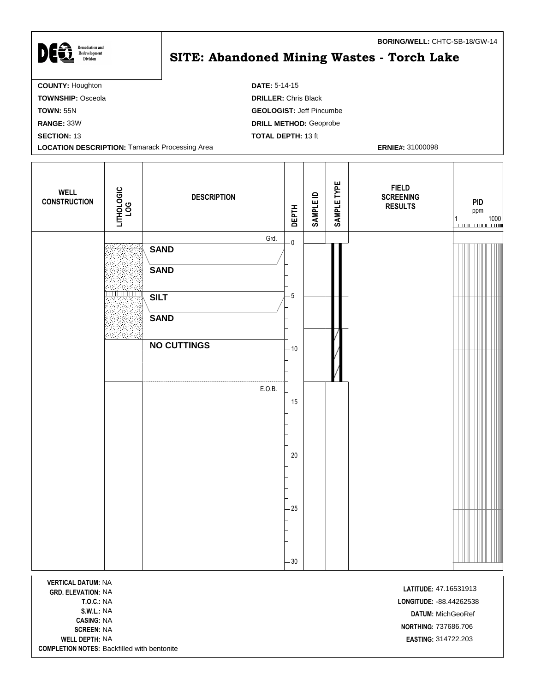| DEG<br><b>Remediation and</b><br>Redevelopment<br><b>Division</b> | <b>BORING/WELL: CHTC-SB-18/GW-14</b><br>SITE: Abandoned Mining Wastes - Torch Lake |
|-------------------------------------------------------------------|------------------------------------------------------------------------------------|
| <b>COUNTY: Houghton</b>                                           | <b>DATE: 5-14-15</b>                                                               |
| <b>TOWNSHIP: Osceola</b>                                          | <b>DRILLER: Chris Black</b>                                                        |
| <b>TOWN: 55N</b>                                                  | <b>GEOLOGIST: Jeff Pincumbe</b>                                                    |
| RANGE: 33W                                                        | <b>DRILL METHOD: Geoprobe</b>                                                      |
| <b>SECTION: 13</b>                                                | <b>TOTAL DEPTH: 13 ft</b>                                                          |

**LOCATION DESCRIPTION:** Tamarack Processing Area **ERNIE#: 31000098 ERNIE#: 31000098** 

ı

I

**COMPLETION NOTES:** Backfilled with bentonite

٦

| <b>WELL</b><br><b>CONSTRUCTION</b>                                                                                                                                  | LITHOLOGIC<br>LOG          | <b>DESCRIPTION</b>                                | <b>DEPTH</b>                 | SAMPLE ID | SAMPLE TYPE | <b>FIELD</b><br><b>SCREENING</b><br><b>RESULTS</b>                                                                    | <b>PID</b><br>ppm<br>1000<br>1 |
|---------------------------------------------------------------------------------------------------------------------------------------------------------------------|----------------------------|---------------------------------------------------|------------------------------|-----------|-------------|-----------------------------------------------------------------------------------------------------------------------|--------------------------------|
|                                                                                                                                                                     | <u> Bibliotti i Biblio</u> | Grd.<br><b>SAND</b><br><b>SAND</b><br><b>SILT</b> | $\overline{\mathbf{0}}$<br>5 |           |             |                                                                                                                       |                                |
|                                                                                                                                                                     |                            | <b>SAND</b><br><b>NO CUTTINGS</b><br>E.O.B.       | $-10$                        |           |             |                                                                                                                       |                                |
|                                                                                                                                                                     |                            |                                                   | $-15$<br>- 20                |           |             |                                                                                                                       |                                |
|                                                                                                                                                                     |                            |                                                   | $-25$<br>$-30$               |           |             |                                                                                                                       |                                |
| <b>VERTICAL DATUM: NA</b><br><b>GRD. ELEVATION: NA</b><br><b>T.O.C.: NA</b><br><b>S.W.L.: NA</b><br><b>CASING: NA</b><br><b>SCREEN: NA</b><br><b>WELL DEPTH: NA</b> |                            |                                                   |                              |           |             | LATITUDE: 47.16531913<br>LONGITUDE: - 88.44262538<br>DATUM: MichGeoRef<br>NORTHING: 737686.706<br>EASTING: 314722.203 |                                |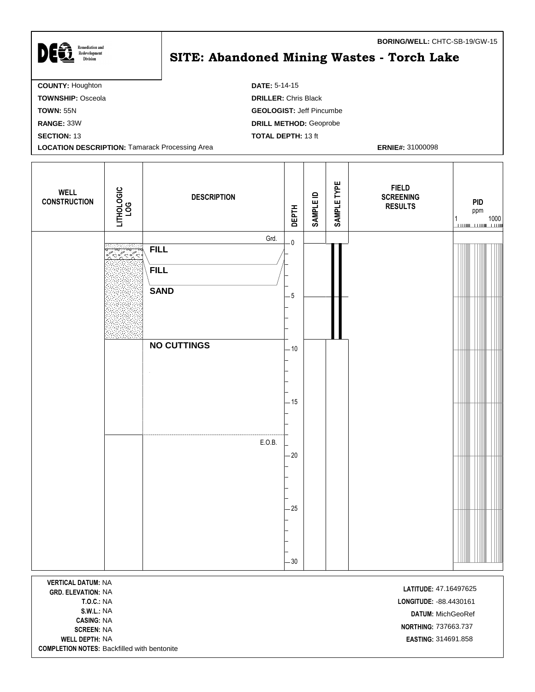| <b>Remediation and</b>                                | <b>BORING/WELL: CHTC-SB-19/GW-15</b>       |
|-------------------------------------------------------|--------------------------------------------|
| <b>DEG</b><br>Redevelopment<br><b>Division</b>        | SITE: Abandoned Mining Wastes - Torch Lake |
| <b>COUNTY: Houghton</b>                               | <b>DATE: 5-14-15</b>                       |
| <b>TOWNSHIP: Osceola</b>                              | <b>DRILLER: Chris Black</b>                |
| <b>TOWN: 55N</b>                                      | <b>GEOLOGIST: Jeff Pincumbe</b>            |
| RANGE: 33W                                            | <b>DRILL METHOD: Geoprobe</b>              |
| <b>SECTION: 13</b>                                    | <b>TOTAL DEPTH: 13 ft</b>                  |
| <b>LOCATION DESCRIPTION: Tamarack Processing Area</b> | <b>ERNIE#: 31000098</b>                    |

T

| <b>WELL</b><br><b>CONSTRUCTION</b>                     | LITHOLOGIC<br>LOG | <b>DESCRIPTION</b>                                                                | <b>DEPTH</b>                                                        | <b>SAMPLE ID</b> | SAMPLE TYPE | <b>FIELD</b><br><b>SCREENING</b><br><b>RESULTS</b> | <b>PID</b><br>ppm<br>$\frac{1}{1}$ 1000 |
|--------------------------------------------------------|-------------------|-----------------------------------------------------------------------------------|---------------------------------------------------------------------|------------------|-------------|----------------------------------------------------|-----------------------------------------|
|                                                        |                   | Grd.<br><b>FILL</b><br><b>FILL</b><br><b>SAND</b><br><b>NO CUTTINGS</b><br>E.O.B. | $\overline{\mathbf{0}}$<br>$-5$<br>$-10$<br>$-15$<br>$-20$<br>$-25$ |                  |             |                                                    |                                         |
| <b>VERTICAL DATUM: NA</b><br><b>GRD. ELEVATION: NA</b> |                   |                                                                                   | $-30$                                                               |                  |             | LATITUDE: 47.16497625                              |                                         |

**CASING:** NA **NORTHING:** 737663.737<br>**SCREEN:** NA **WELL DEPTH:** NA **EASTING:** 314691.858 **COMPLETION NOTES:** Backfilled with bentonite

**T.O.C.:** NA **LONGITUDE:** -88.4430161 **S.W.L.:** NA **DATUM:** MichGeoRef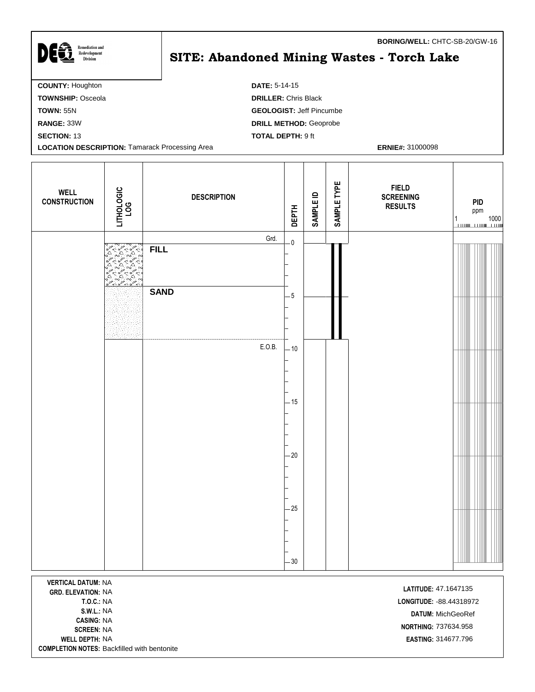| <b>Remediation and</b>                                | <b>BORING/WELL: CHTC-SB-20/GW-16</b>       |
|-------------------------------------------------------|--------------------------------------------|
| DEG<br>Redevelopment<br><b>Division</b>               | SITE: Abandoned Mining Wastes - Torch Lake |
| <b>COUNTY: Houghton</b>                               | <b>DATE: 5-14-15</b>                       |
| <b>TOWNSHIP: Osceola</b>                              | <b>DRILLER: Chris Black</b>                |
| <b>TOWN: 55N</b>                                      | <b>GEOLOGIST: Jeff Pincumbe</b>            |
| RANGE: 33W                                            | <b>DRILL METHOD: Geoprobe</b>              |
| <b>SECTION: 13</b>                                    | <b>TOTAL DEPTH: 9 ft</b>                   |
| <b>LOCATION DESCRIPTION: Tamarack Processing Area</b> | <b>ERNIE#: 31000098</b>                    |

| <b>WELL</b><br><b>CONSTRUCTION</b> | LITHOLOGIC<br>LOG | <b>DESCRIPTION</b>  | <b>DEPTH</b>            | <b>SAMPLE ID</b> | SAMPLE TYPE | <b>FIELD</b><br><b>SCREENING</b><br><b>RESULTS</b> | <b>PID</b><br>ppm |
|------------------------------------|-------------------|---------------------|-------------------------|------------------|-------------|----------------------------------------------------|-------------------|
|                                    | Representative    | Grd.<br><b>FILL</b> | $\overline{\mathbf{0}}$ |                  |             |                                                    |                   |
|                                    |                   | <b>SAND</b>         | $-5$                    |                  |             |                                                    |                   |
|                                    |                   | E.O.B.              | $-10$                   |                  |             |                                                    |                   |
|                                    |                   |                     | $-15$                   |                  |             |                                                    |                   |
|                                    |                   |                     | $-20$                   |                  |             |                                                    |                   |
|                                    |                   |                     | $-25$                   |                  |             |                                                    |                   |
| <b>VEDTICAL DATIIM-NIA</b>         |                   |                     | $-30$                   |                  |             |                                                    |                   |

**VERTICAL DATUM:** NA **LATITUDE:** 47.1647135 **CASING:** NA **SCREEN:** NA<br>**SCREEN:** NA **NORTHING:** 737634.958 **WELL DEPTH:** NA **EASTING:** 314677.796 **COMPLETION NOTES:** Backfilled with bentonite

**T.O.C.:** NA **LONGITUDE:** -88.44318972 **S.W.L.:** NA **DATUM:** MichGeoRef

- 1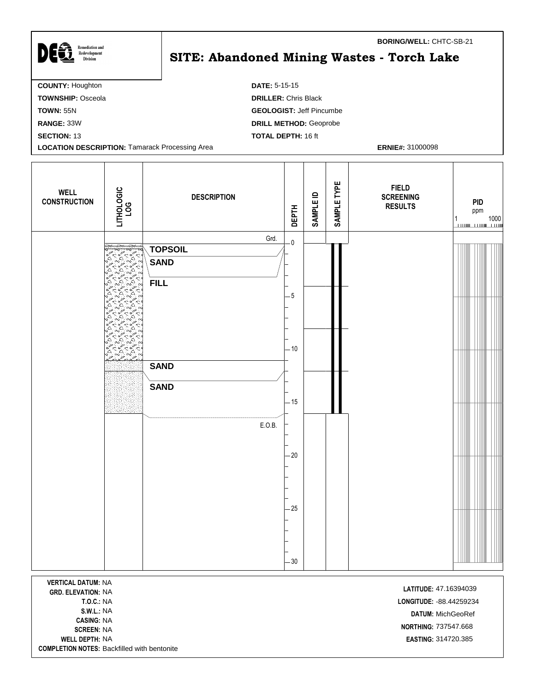| <b>Remediation and</b>                                | <b>BORING/WELL: CHTC-SB-21</b>             |
|-------------------------------------------------------|--------------------------------------------|
| Redevelopment<br><b>Division</b>                      | SITE: Abandoned Mining Wastes - Torch Lake |
| <b>COUNTY: Houghton</b>                               | <b>DATE: 5-15-15</b>                       |
| <b>TOWNSHIP: Osceola</b>                              | <b>DRILLER: Chris Black</b>                |
| <b>TOWN: 55N</b>                                      | <b>GEOLOGIST: Jeff Pincumbe</b>            |
| RANGE: 33W                                            | <b>DRILL METHOD: Geoprobe</b>              |
| <b>SECTION: 13</b>                                    | <b>TOTAL DEPTH: 16 ft</b>                  |
| <b>LOCATION DESCRIPTION: Tamarack Processing Area</b> | <b>ERNIE#: 31000098</b>                    |

 $\mathsf{l}$ 

| <b>WELL</b><br><b>CONSTRUCTION</b>                     | LITHOLOGIC<br>LOG                                                      | <b>DESCRIPTION</b>                                   | <b>DEPTH</b>                    | <b>SAMPLE ID</b> | SAMPLE TYPE | <b>FIELD</b><br><b>SCREENING</b><br><b>RESULTS</b> | <b>PID</b><br>ppm<br>1000<br>1 |
|--------------------------------------------------------|------------------------------------------------------------------------|------------------------------------------------------|---------------------------------|------------------|-------------|----------------------------------------------------|--------------------------------|
|                                                        | $\mathbb{R}^3$<br>¢.<br>ANA<br>A<br>△<br>్లు<br>۵٩<br>Ā.<br>أثخة<br>Q. | Grd.<br><b>TOPSOIL</b><br><b>SAND</b><br><b>FILL</b> | $\overline{\mathbf{0}}$<br>$-5$ |                  |             |                                                    |                                |
|                                                        | $\sum_{i=1}^{\infty}$<br>Δ<br>్న<br>ö                                  | <b>SAND</b><br><b>SAND</b>                           | $-10$                           |                  |             |                                                    |                                |
|                                                        |                                                                        | E.O.B.                                               | $-15$<br>$-20$                  |                  |             |                                                    |                                |
|                                                        |                                                                        |                                                      | $-25$                           |                  |             |                                                    |                                |
| <b>VERTICAL DATUM: NA</b><br><b>GRD. ELEVATION: NA</b> |                                                                        |                                                      | $-30$                           |                  |             | LATITUDE: 47.16394039                              |                                |

**CASING:** NA **COMPLETION NOTES:** Backfilled with bentonite

I

**T.O.C.:** NA **LONGITUDE:** -88.44259234 **S.W.L.:** NA **DATUM:** MichGeoRef **NORTHING:** 737547.668<br>**SCREEN:** NA **WELL DEPTH:** NA **EASTING:** 314720.385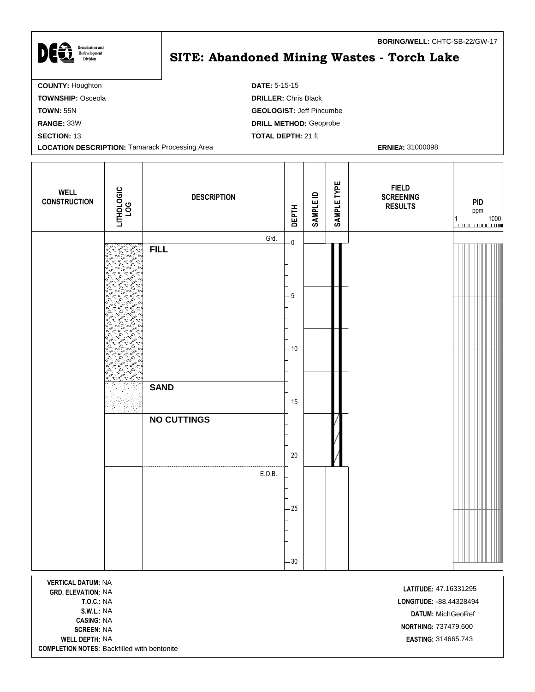| <b>Remediation and</b>                                | BORING/WELL: CHTC-SB-22/GW-17              |
|-------------------------------------------------------|--------------------------------------------|
| Redevelopment<br><b>Division</b>                      | SITE: Abandoned Mining Wastes - Torch Lake |
| <b>COUNTY: Houghton</b>                               | <b>DATE: 5-15-15</b>                       |
| <b>TOWNSHIP: Osceola</b>                              | <b>DRILLER: Chris Black</b>                |
| <b>TOWN: 55N</b>                                      | <b>GEOLOGIST: Jeff Pincumbe</b>            |
| RANGE: 33W                                            | <b>DRILL METHOD: Geoprobe</b>              |
| <b>SECTION: 13</b>                                    | <b>TOTAL DEPTH: 21 ft</b>                  |
| <b>LOCATION DESCRIPTION: Tamarack Processing Area</b> | <b>ERNIE#: 31000098</b>                    |

| <b>WELL</b><br><b>CONSTRUCTION</b>                                                                                                         | LITHOLOGIC<br>LOG                                                                                                                           | <b>DESCRIPTION</b> | <b>DEPTH</b> | SAMPLE ID | SAMPLE TYPE | <b>FIELD</b><br><b>SCREENING</b><br><b>RESULTS</b>                                             | <b>PID</b><br>ppm<br>1000<br>1 |
|--------------------------------------------------------------------------------------------------------------------------------------------|---------------------------------------------------------------------------------------------------------------------------------------------|--------------------|--------------|-----------|-------------|------------------------------------------------------------------------------------------------|--------------------------------|
|                                                                                                                                            |                                                                                                                                             | Grd.               | $\mathbf 0$  |           |             |                                                                                                |                                |
|                                                                                                                                            | REAR EARS<br>۵٩<br>$\sum_{\alpha} \sum_{\alpha} \alpha$<br>్షన<br>$\sum_{k=0}^{n} \frac{\lambda}{k}$<br>ċ۵<br>ö<br>Δ.<br>$\Delta$<br>బు     | <b>FILL</b>        |              |           |             |                                                                                                |                                |
|                                                                                                                                            | $\frac{1}{2}$<br>△<br>$\omega^{\Delta}$<br>Δ.<br>్షన<br>$\frac{1}{2}$<br>△<br>△<br>أثاث<br>iN,<br>ें 1<br>Δ<br>$\omega^{\Delta}$<br>ن<br>وف |                    | $\cdot 5$    |           |             |                                                                                                |                                |
|                                                                                                                                            | ್ಷ<br>△<br>д<br>ъs<br>Argentical                                                                                                            | <b>SAND</b>        | - 10         |           |             |                                                                                                |                                |
|                                                                                                                                            |                                                                                                                                             |                    | $-15$        |           |             |                                                                                                |                                |
|                                                                                                                                            |                                                                                                                                             | <b>NO CUTTINGS</b> | $-20$        |           |             |                                                                                                |                                |
|                                                                                                                                            |                                                                                                                                             |                    |              |           |             |                                                                                                |                                |
|                                                                                                                                            |                                                                                                                                             | E.O.B.             | - 25         |           |             |                                                                                                |                                |
|                                                                                                                                            |                                                                                                                                             |                    |              |           |             |                                                                                                | $\mathbb{E}[\mathcal{A}]$      |
| <b>VERTICAL DATUM: NA</b><br><b>GRD. ELEVATION: NA</b><br><b>T.O.C.: NA</b><br><b>S.W.L.: NA</b><br><b>CASING: NA</b><br><b>SCREEN: NA</b> |                                                                                                                                             |                    | $-30$        |           |             | LATITUDE: 47.16331295<br>LONGITUDE: - 88.44328494<br>DATUM: MichGeoRef<br>NORTHING: 737479.600 |                                |

**COMPLETION NOTES:** Backfilled with bentonite

**WELL DEPTH:** NA **EASTING:** 314665.743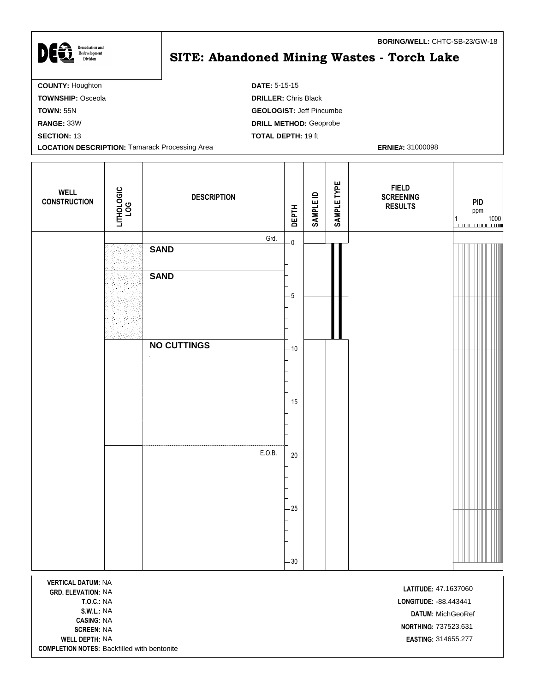| <b>Remediation and</b>                                | BORING/WELL: CHTC-SB-23/GW-18              |
|-------------------------------------------------------|--------------------------------------------|
| DEG<br>Redevelopment<br><b>Division</b>               | SITE: Abandoned Mining Wastes - Torch Lake |
| <b>COUNTY: Houghton</b>                               | <b>DATE: 5-15-15</b>                       |
| <b>TOWNSHIP: Osceola</b>                              | <b>DRILLER: Chris Black</b>                |
| <b>TOWN: 55N</b>                                      | <b>GEOLOGIST: Jeff Pincumbe</b>            |
| RANGE: 33W                                            | <b>DRILL METHOD: Geoprobe</b>              |
| <b>SECTION: 13</b>                                    | <b>TOTAL DEPTH: 19 ft</b>                  |
| <b>LOCATION DESCRIPTION: Tamarack Processing Area</b> | <b>ERNIE#: 31000098</b>                    |

 $\mathbf{I}$ 

| <b>WELL</b><br><b>CONSTRUCTION</b> | LITHOLOGIC<br>LOG | <b>DESCRIPTION</b> | <b>DEPTH</b>            | <b>SAMPLE ID</b> | SAMPLE TYPE | <b>FIELD</b><br><b>SCREENING</b><br><b>RESULTS</b> | <b>PID</b><br>ppm<br>$\begin{array}{c c} 1 & 1000 \\ \hline \end{array}$ |  |
|------------------------------------|-------------------|--------------------|-------------------------|------------------|-------------|----------------------------------------------------|--------------------------------------------------------------------------|--|
|                                    |                   | Grd.               | $\overline{\mathbf{0}}$ |                  |             |                                                    |                                                                          |  |
|                                    |                   | <b>SAND</b>        |                         |                  |             |                                                    |                                                                          |  |
|                                    |                   | <b>SAND</b>        |                         |                  |             |                                                    |                                                                          |  |
|                                    |                   |                    | $-5$                    |                  |             |                                                    |                                                                          |  |
|                                    |                   |                    |                         |                  |             |                                                    |                                                                          |  |
|                                    |                   | <b>NO CUTTINGS</b> | $-10$                   |                  |             |                                                    |                                                                          |  |
|                                    |                   |                    |                         |                  |             |                                                    |                                                                          |  |
|                                    |                   |                    |                         |                  |             |                                                    |                                                                          |  |
|                                    |                   |                    | $-15$                   |                  |             |                                                    |                                                                          |  |
|                                    |                   | E.O.B.             | $-20$                   |                  |             |                                                    |                                                                          |  |
|                                    |                   |                    | $-25$<br>$-30$          |                  |             |                                                    |                                                                          |  |
| <b>VERTICAL DATUM: NA</b>          |                   |                    |                         |                  |             |                                                    |                                                                          |  |
| CDD ELEVATION, NA                  |                   |                    |                         |                  |             | LATITUDE: 47.1637060                               |                                                                          |  |

**GRD. ELEVATION: NA CASING:** NA **WELL DEPTH:** NA **EASTING:** 314655.277 **COMPLETION NOTES:** Backfilled with bentonite

ſ

**T.O.C.:** NA **LONGITUDE:** -88.443441 **S.W.L.:** NA **DATUM:** MichGeoRef **SCREEN:** NA<br>**SCREEN:** NA<br>**SCREEN:** NA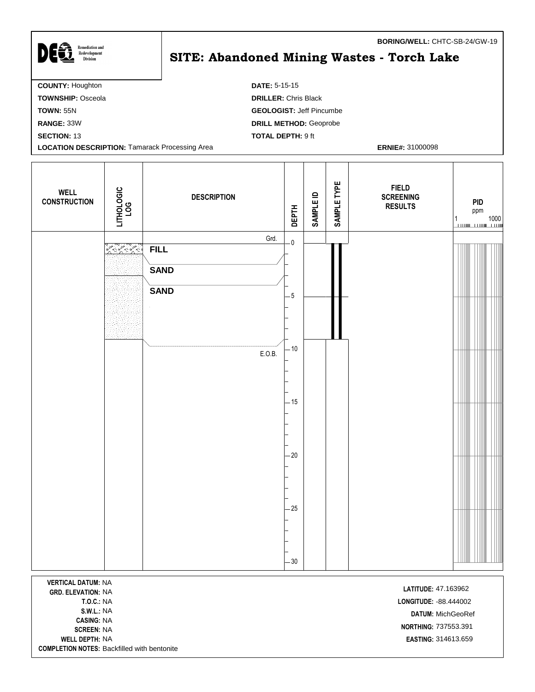| <b>Remediation and</b>                                | <b>BORING/WELL: CHTC-SB-24/GW-19</b>       |
|-------------------------------------------------------|--------------------------------------------|
| DEG<br>Redevelopment<br><b>Division</b>               | SITE: Abandoned Mining Wastes - Torch Lake |
| <b>COUNTY: Houghton</b>                               | <b>DATE: 5-15-15</b>                       |
| <b>TOWNSHIP: Osceola</b>                              | <b>DRILLER: Chris Black</b>                |
| <b>TOWN: 55N</b>                                      | <b>GEOLOGIST: Jeff Pincumbe</b>            |
| RANGE: 33W                                            | <b>DRILL METHOD: Geoprobe</b>              |
| <b>SECTION: 13</b>                                    | <b>TOTAL DEPTH: 9 ft</b>                   |
| <b>LOCATION DESCRIPTION: Tamarack Processing Area</b> | <b>ERNIE#: 31000098</b>                    |

T

| <b>WELL</b><br><b>CONSTRUCTION</b> | LITHOLOGIC<br>LOG | <b>DESCRIPTION</b>                                          | <b>DEPTH</b>                                                      | <b>SAMPLE ID</b> | SAMPLE TYPE | <b>FIELD</b><br><b>SCREENING</b><br><b>RESULTS</b> | PID<br>ppm<br>$\begin{array}{c c} 1 & 1000 \\ \hline \end{array}$ |
|------------------------------------|-------------------|-------------------------------------------------------------|-------------------------------------------------------------------|------------------|-------------|----------------------------------------------------|-------------------------------------------------------------------|
|                                    | <b>Accept</b>     | Grd.<br><b>FILL</b><br><b>SAND</b><br><b>SAND</b><br>E.O.B. | $\mathbf{0}$<br>$-5$<br>$-10$<br>$-15$<br>$-20$<br>$-25$<br>$-30$ |                  |             |                                                    |                                                                   |

**VERTICAL DATUM:** NA NA **LATITUDE: GRD. ELEVATION:** 47.163962 **CASING:** NA **SCREEN:** NA<br>**SCREEN:** NA<br>**SCREEN:** NA **WELL DEPTH:** NA **EASTING:** 314613.659 **COMPLETION NOTES:** Backfilled with bentonite

**T.O.C.:** NA **LONGITUDE:** -88.444002 **S.W.L.:** NA **DATUM:** MichGeoRef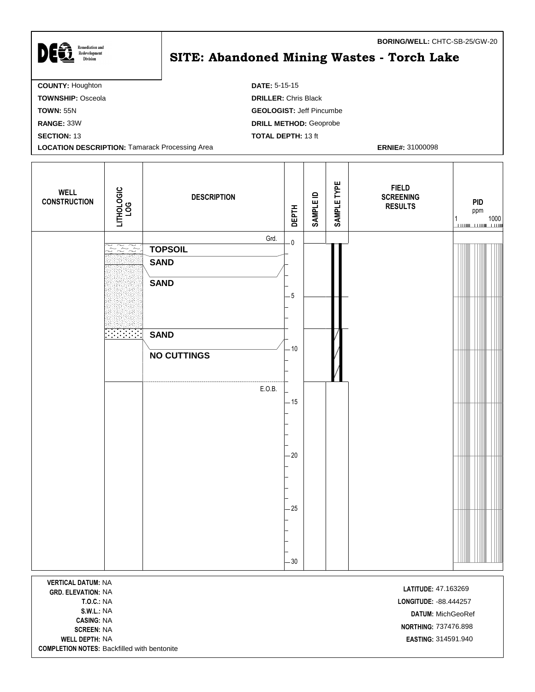| )Eĝ<br><b>Remediation and</b><br>Redevelopment<br><b>Division</b> | <b>BORING/WELL: CHTC-SB-25/GW-20</b><br><b>SITE: Abandoned Mining Wastes - Torch Lake</b> |
|-------------------------------------------------------------------|-------------------------------------------------------------------------------------------|
| <b>COUNTY: Houghton</b>                                           | <b>DATE: 5-15-15</b>                                                                      |
| <b>TOWNSHIP: Osceola</b>                                          | <b>DRILLER: Chris Black</b>                                                               |
| <b>TOWN: 55N</b>                                                  | <b>GEOLOGIST: Jeff Pincumbe</b>                                                           |
| RANGE: 33W                                                        | <b>DRILL METHOD: Geoprobe</b>                                                             |
| <b>SECTION: 13</b>                                                | <b>TOTAL DEPTH: 13 ft</b>                                                                 |

**LOCATION DESCRIPTION:** Tamarack Processing Area **ERNIE#: 31000098 ERNIE#: 31000098** 

٦

ſ

| <b>WELL</b><br><b>CONSTRUCTION</b>                                                                                                         | LITHOLOGIC<br>LOG | <b>DESCRIPTION</b>                                   | <b>DEPTH</b>       | <b>SAMPLE ID</b> | SAMPLE TYPE | <b>FIELD</b><br><b>SCREENING</b><br><b>RESULTS</b>                                         | <b>PID</b><br>ppm<br>1000<br>1 |
|--------------------------------------------------------------------------------------------------------------------------------------------|-------------------|------------------------------------------------------|--------------------|------------------|-------------|--------------------------------------------------------------------------------------------|--------------------------------|
|                                                                                                                                            | <u>ZZZ:</u>       | Grd.<br><b>TOPSOIL</b><br><b>SAND</b><br><b>SAND</b> | $\mathbf 0$<br>- 5 |                  |             |                                                                                            |                                |
|                                                                                                                                            |                   | <b>SAND</b><br><b>NO CUTTINGS</b><br>E.O.B.          | $-10$              |                  |             |                                                                                            |                                |
|                                                                                                                                            |                   |                                                      | $-15$<br>$-20$     |                  |             |                                                                                            |                                |
|                                                                                                                                            |                   |                                                      | $-25$              |                  |             |                                                                                            |                                |
| <b>VERTICAL DATUM: NA</b><br><b>GRD. ELEVATION: NA</b><br><b>T.O.C.: NA</b><br><b>S.W.L.: NA</b><br><b>CASING: NA</b><br><b>SCREEN: NA</b> |                   |                                                      | $-30$              |                  |             | LATITUDE: 47.163269<br>LONGITUDE: - 88.444257<br>DATUM: MichGeoRef<br>NORTHING: 737476.898 |                                |

**COMPLETION NOTES:** Backfilled with bentonite

**WELL DEPTH:** NA **EASTING:** 314591.940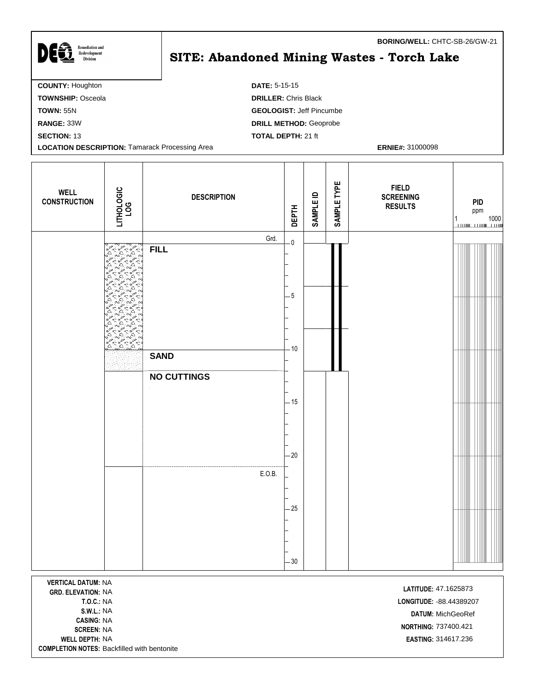| <b>Remediation and</b><br>Redevelopment<br>Division   | BURING/WELL: UTIL-3D-Z0/GW-ZI<br>SITE: Abandoned Mining Wastes - Torch Lake |
|-------------------------------------------------------|-----------------------------------------------------------------------------|
| <b>COUNTY: Houghton</b>                               | <b>DATE: 5-15-15</b>                                                        |
| <b>TOWNSHIP: Osceola</b>                              | <b>DRILLER: Chris Black</b>                                                 |
| <b>TOWN: 55N</b>                                      | <b>GEOLOGIST: Jeff Pincumbe</b>                                             |
| RANGE: 33W                                            | <b>DRILL METHOD: Geoprobe</b>                                               |
| <b>SECTION: 13</b>                                    | <b>TOTAL DEPTH: 21 ft</b>                                                   |
| <b>LOCATION DESCRIPTION: Tamarack Processing Area</b> | <b>ERNIE#: 31000098</b>                                                     |

| <b>WELL</b><br><b>CONSTRUCTION</b>                                                | LITHOLOGIC<br><b>LOG</b>                                                                                                                                             | <b>DESCRIPTION</b>                | <b>DEPTH</b>                    | <b>SAMPLE ID</b> | SAMPLE TYPE | <b>FIELD</b><br><b>SCREENING</b><br><b>RESULTS</b>                    | <b>PID</b><br>ppm<br>1000<br>1 |
|-----------------------------------------------------------------------------------|----------------------------------------------------------------------------------------------------------------------------------------------------------------------|-----------------------------------|---------------------------------|------------------|-------------|-----------------------------------------------------------------------|--------------------------------|
|                                                                                   | ক<br>ठ<br>Sergentes<br>$\sum_{i=1}^{N}$<br>$\sim$<br>△<br>دى<br>۵<br>òД<br>△<br>أدبغ                                                                                 | Grd.<br><b>FILL</b>               | $\overline{\mathbf{0}}$<br>$-5$ |                  |             |                                                                       |                                |
|                                                                                   | A<br>Δ<br>έŃ<br>۵۹<br>Ö.<br>△<br>ू<br>ू<br>èS.<br>4<br>$\hat{\omega}^{\Delta}$<br>$\approx$<br>ò<br>$\preccurlyeq^{\mathsf{d}}$<br>$\Delta\sigma^a$<br>$\Delta$<br>△ | <b>SAND</b><br><b>NO CUTTINGS</b> | $-10$                           |                  |             |                                                                       |                                |
|                                                                                   |                                                                                                                                                                      |                                   | - 15<br>$-20$                   |                  |             |                                                                       |                                |
|                                                                                   |                                                                                                                                                                      | E.O.B.                            | $-25$                           |                  |             |                                                                       |                                |
| <b>VERTICAL DATUM: NA</b>                                                         |                                                                                                                                                                      |                                   | $-30$                           |                  |             |                                                                       |                                |
| <b>GRD. ELEVATION: NA</b><br><b>T.O.C.: NA</b><br>S.W.L.: NA<br><b>CASING: NA</b> |                                                                                                                                                                      |                                   |                                 |                  |             | LATITUDE: 47.1625873<br>LONGITUDE: - 88.44389207<br>DATUM: MichGeoRef |                                |

**WELL DEPTH:** NA **EASTING:** 314617.236 **COMPLETION NOTES:** Backfilled with bentonite

 $\mathbb{R}^2$ 

**NORTHING:** 737400.421<br>**SCREEN:** NA

**BORING/WELL:** CHTC-SB-26/GW-21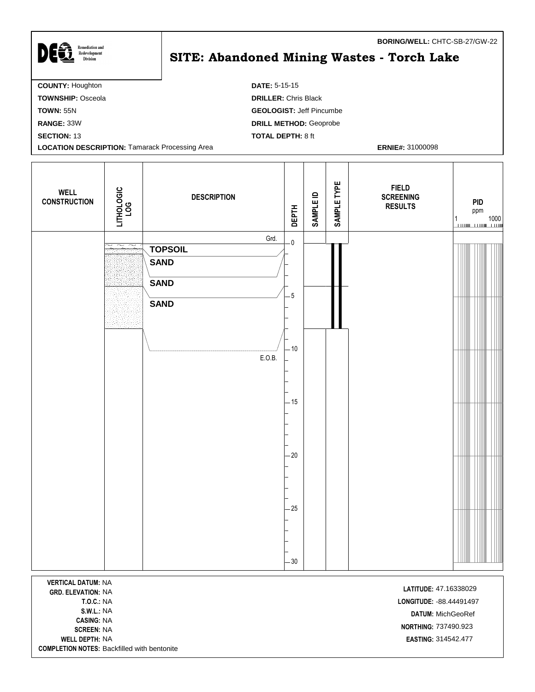| <b>Remediation and</b>                                | BORING/WELL: CHTC-SB-27/GW-22              |
|-------------------------------------------------------|--------------------------------------------|
| Redevelopment<br><b>Division</b>                      | SITE: Abandoned Mining Wastes - Torch Lake |
| <b>COUNTY: Houghton</b>                               | <b>DATE: 5-15-15</b>                       |
| <b>TOWNSHIP: Osceola</b>                              | <b>DRILLER: Chris Black</b>                |
| <b>TOWN: 55N</b>                                      | <b>GEOLOGIST: Jeff Pincumbe</b>            |
| RANGE: 33W                                            | <b>DRILL METHOD: Geoprobe</b>              |
| <b>SECTION: 13</b>                                    | <b>TOTAL DEPTH: 8 ft</b>                   |
| <b>LOCATION DESCRIPTION: Tamarack Processing Area</b> | <b>ERNIE#: 31000098</b>                    |

T

| <b>WELL</b><br><b>CONSTRUCTION</b>                     | LITHOLOGIC<br>LOG                                      | <b>DESCRIPTION</b>                                                  | <b>DEPTH</b>            | SAMPLE ID | SAMPLE TYPE | <b>FIELD</b><br><b>SCREENING</b><br><b>RESULTS</b> | <b>PID</b><br>ppm |
|--------------------------------------------------------|--------------------------------------------------------|---------------------------------------------------------------------|-------------------------|-----------|-------------|----------------------------------------------------|-------------------|
|                                                        | $\widetilde{\phantom{m}}$<br>$\widetilde{\phantom{m}}$ | Grd.<br><b>TOPSOIL</b><br><b>SAND</b><br><b>SAND</b><br><b>SAND</b> | $-0$<br>$5\phantom{.0}$ |           |             |                                                    |                   |
|                                                        |                                                        | E.O.B.                                                              | $-10$<br>$-15$          |           |             |                                                    |                   |
|                                                        |                                                        |                                                                     | $-20$<br>$-25$          |           |             |                                                    |                   |
| <b>VERTICAL DATUM: NA</b><br><b>GRD. ELEVATION: NA</b> |                                                        |                                                                     | $-30$                   |           |             | LATITUDE: 47.16338029                              |                   |

**CASING:** NA **WELL DEPTH:** NA **EASTING:** 314542.477 **COMPLETION NOTES:** Backfilled with bentonite

**T.O.C.:** NA **LONGITUDE:** -88.44491497 **S.W.L.:** NA **DATUM:** MichGeoRef **NORTHING:** 737490.923<br>**SCREEN:** NA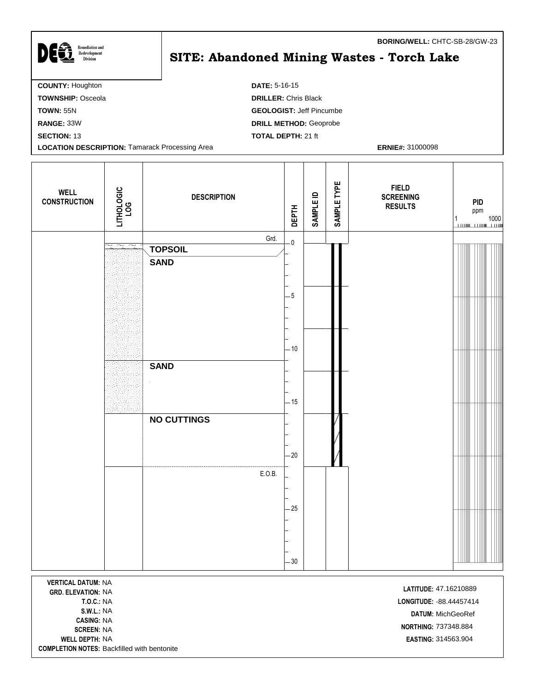| <b>Remediation and</b>                                | <b>BORING/WELL: CHTC-SB-28/GW-23</b>              |  |  |  |  |  |  |  |
|-------------------------------------------------------|---------------------------------------------------|--|--|--|--|--|--|--|
| Redevelopment<br><b>Division</b>                      | <b>SITE: Abandoned Mining Wastes - Torch Lake</b> |  |  |  |  |  |  |  |
|                                                       |                                                   |  |  |  |  |  |  |  |
| <b>COUNTY: Houghton</b>                               | <b>DATE: 5-16-15</b>                              |  |  |  |  |  |  |  |
| <b>TOWNSHIP: Osceola</b>                              | <b>DRILLER: Chris Black</b>                       |  |  |  |  |  |  |  |
| <b>TOWN: 55N</b>                                      | <b>GEOLOGIST: Jeff Pincumbe</b>                   |  |  |  |  |  |  |  |
| RANGE: 33W                                            | <b>DRILL METHOD: Geoprobe</b>                     |  |  |  |  |  |  |  |
| <b>SECTION: 13</b>                                    | <b>TOTAL DEPTH: 21 ft</b>                         |  |  |  |  |  |  |  |
| <b>LOCATION DESCRIPTION: Tamarack Processing Area</b> | <b>ERNIE#: 31000098</b>                           |  |  |  |  |  |  |  |

Τ

| <b>WELL</b><br><b>CONSTRUCTION</b> | LITHOLOGIC<br>LOG | <b>DESCRIPTION</b>            | <b>DEPTH</b>            | <b>SAMPLE ID</b> | SAMPLE TYPE | <b>FIELD</b><br><b>SCREENING</b><br><b>RESULTS</b> |  | <b>PID</b><br>ppm<br>$\begin{array}{c} 1 \\ \hline \end{array} \qquad \qquad \begin{array}{c} 1000 \\ \hline \end{array}$ |  |
|------------------------------------|-------------------|-------------------------------|-------------------------|------------------|-------------|----------------------------------------------------|--|---------------------------------------------------------------------------------------------------------------------------|--|
|                                    | $\sim$<br>$\sim$  | Grd.                          | $\overline{\mathbf{0}}$ |                  |             |                                                    |  |                                                                                                                           |  |
|                                    |                   | <b>TOPSOIL</b><br><b>SAND</b> |                         |                  |             |                                                    |  |                                                                                                                           |  |
|                                    |                   |                               |                         |                  |             |                                                    |  |                                                                                                                           |  |
|                                    |                   |                               | $-5$                    |                  |             |                                                    |  |                                                                                                                           |  |
|                                    |                   |                               |                         |                  |             |                                                    |  |                                                                                                                           |  |
|                                    |                   |                               |                         |                  |             |                                                    |  |                                                                                                                           |  |
|                                    |                   |                               | $-10$                   |                  |             |                                                    |  |                                                                                                                           |  |
|                                    |                   | <b>SAND</b>                   |                         |                  |             |                                                    |  |                                                                                                                           |  |
|                                    |                   |                               |                         |                  |             |                                                    |  |                                                                                                                           |  |
|                                    |                   |                               | $-15$                   |                  |             |                                                    |  |                                                                                                                           |  |
|                                    |                   | <b>NO CUTTINGS</b>            |                         |                  |             |                                                    |  |                                                                                                                           |  |
|                                    |                   |                               |                         |                  |             |                                                    |  |                                                                                                                           |  |
|                                    |                   |                               | $-20$                   |                  |             |                                                    |  |                                                                                                                           |  |
|                                    |                   | E.O.B.                        |                         |                  |             |                                                    |  |                                                                                                                           |  |
|                                    |                   |                               |                         |                  |             |                                                    |  |                                                                                                                           |  |
|                                    |                   |                               | $-25$                   |                  |             |                                                    |  |                                                                                                                           |  |
|                                    |                   |                               |                         |                  |             |                                                    |  |                                                                                                                           |  |
|                                    |                   |                               |                         |                  |             |                                                    |  |                                                                                                                           |  |
|                                    |                   |                               | $-30$                   |                  |             |                                                    |  |                                                                                                                           |  |
| <b>MERTION BATIMENIA</b>           |                   |                               |                         |                  |             |                                                    |  |                                                                                                                           |  |

**VERTICAL DATUM:** NA **LATITUDE:** 47.16210889<br>**GRD. ELEVATION:** NA **CASING:** NA **NORTHING:** 737348.884<br>**SCREEN:** NA **WELL DEPTH:** NA **EASTING:** 314563.904 **COMPLETION NOTES:** Backfilled with bentonite

**T.O.C.:** NA **LONGITUDE:** -88.44457414 **S.W.L.:** NA **DATUM:** MichGeoRef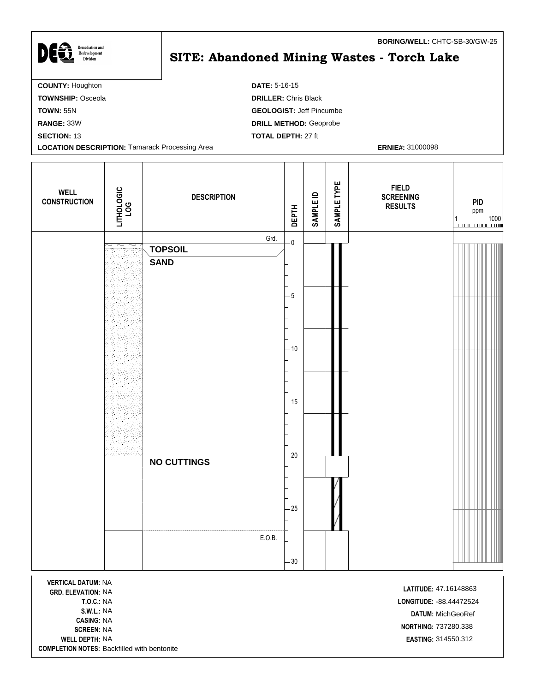| DEG<br><b>Remediation and</b><br>Redevelopment<br><b>Division</b> | <b>BORING/WELL: CHTC-SB-30/GW-25</b><br>SITE: Abandoned Mining Wastes - Torch Lake |
|-------------------------------------------------------------------|------------------------------------------------------------------------------------|
| <b>COUNTY: Houghton</b>                                           | <b>DATE: 5-16-15</b>                                                               |
| <b>TOWNSHIP: Osceola</b>                                          | <b>DRILLER: Chris Black</b>                                                        |
| <b>TOWN: 55N</b>                                                  | <b>GEOLOGIST: Jeff Pincumbe</b>                                                    |
| <b>RANGE: 33W</b>                                                 | <b>DRILL METHOD: Geoprobe</b>                                                      |
| <b>SECTION: 13</b>                                                | <b>TOTAL DEPTH: 27 ft</b>                                                          |
| <b>LOCATION DESCRIPTION: Tamarack Processing Area</b>             | <b>ERNIE#: 31000098</b>                                                            |

Τ

| <b>WELL</b><br><b>CONSTRUCTION</b> | LITHOLOGIC<br>LOG                        | <b>DESCRIPTION</b>                    | <b>DEPTH</b>        | <b>SAMPLE ID</b> | SAMPLE TYPE | <b>FIELD</b><br><b>SCREENING</b><br><b>RESULTS</b> | <b>PID</b><br>ppm<br>$\frac{1}{1}$ 1000<br>1 |
|------------------------------------|------------------------------------------|---------------------------------------|---------------------|------------------|-------------|----------------------------------------------------|----------------------------------------------|
|                                    | $\overline{\sim}$ $\overline{\sim}$<br>J | Grd.<br><b>TOPSOIL</b><br><b>SAND</b> | $\mathbf 0$<br>$-5$ |                  |             |                                                    |                                              |
|                                    |                                          |                                       | $-10$<br>$-15$      |                  |             |                                                    |                                              |
|                                    |                                          | <b>NO CUTTINGS</b>                    | $-20$               |                  |             |                                                    |                                              |
|                                    |                                          | E.O.B.                                | $-25$<br>$-30$      |                  |             |                                                    |                                              |

**VERTICAL DATUM:** NA **LATITUDE:** 47.16148863<br>**GRD. ELEVATION:** NA **CASING:** NA **WELL DEPTH:** NA **EASTING:** 314550.312 **COMPLETION NOTES:** Backfilled with bentonite

Г

**T.O.C.:** NA **LONGITUDE:** -88.44472524 **S.W.L.:** NA **DATUM:** MichGeoRef **NORTHING:** 737280.338<br>**SCREEN:** NA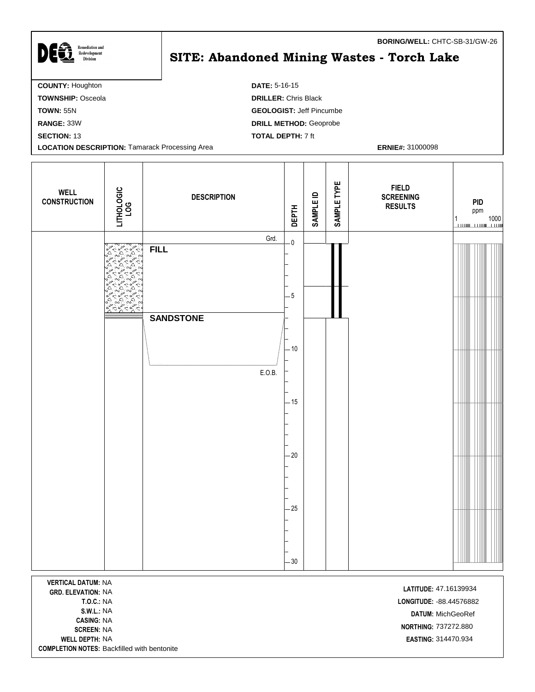| JEG.<br><b>Remediation and</b><br>Redevelopment<br><b>Division</b> | <b>BORING/WELL: CHTC-SB-31/GW-26</b><br>SITE: Abandoned Mining Wastes - Torch Lake |
|--------------------------------------------------------------------|------------------------------------------------------------------------------------|
| <b>COUNTY: Houghton</b>                                            | <b>DATE: 5-16-15</b>                                                               |
| <b>TOWNSHIP: Osceola</b>                                           | <b>DRILLER: Chris Black</b>                                                        |
| <b>TOWN: 55N</b>                                                   | <b>GEOLOGIST: Jeff Pincumbe</b>                                                    |
| RANGE: 33W                                                         | <b>DRILL METHOD: Geoprobe</b>                                                      |
| <b>SECTION: 13</b>                                                 | <b>TOTAL DEPTH: 7 ft</b>                                                           |
| <b>LOCATION DESCRIPTION: Tamarack Processing Area</b>              | <b>ERNIE#: 31000098</b>                                                            |

| <b>WELL</b><br><b>CONSTRUCTION</b> | LITHOLOGIC<br>LOG                    | <b>DESCRIPTION</b> | <b>DEPTH</b> | <b>SAMPLE ID</b> | SAMPLE TYPE | <b>FIELD</b><br><b>SCREENING</b><br><b>RESULTS</b> | <b>PID</b><br>ppm<br>$\begin{array}{c} 1 \\ \hline \end{array} \qquad \qquad \begin{array}{c} 1000 \\ \hline \end{array}$ |
|------------------------------------|--------------------------------------|--------------------|--------------|------------------|-------------|----------------------------------------------------|---------------------------------------------------------------------------------------------------------------------------|
|                                    |                                      | Grd.               | $\mathbf 0$  |                  |             |                                                    |                                                                                                                           |
|                                    | <b>CARRIS</b><br>$\Delta$<br>¢۰<br>c | <b>FILL</b>        | $-5$         |                  |             |                                                    |                                                                                                                           |
|                                    |                                      | <b>SANDSTONE</b>   | $-10$        |                  |             |                                                    |                                                                                                                           |
|                                    |                                      | E.O.B.             |              |                  |             |                                                    |                                                                                                                           |
|                                    |                                      |                    | $-15$        |                  |             |                                                    |                                                                                                                           |
|                                    |                                      |                    | $-20$        |                  |             |                                                    |                                                                                                                           |
|                                    |                                      |                    | $-25$<br>30  |                  |             |                                                    |                                                                                                                           |
| <b>VERTICAL DATUM: NA</b>          |                                      |                    |              |                  |             |                                                    |                                                                                                                           |

**VERTICAL DATUM:** NA **LATITUDE:** 47.16139934<br>**GRD. ELEVATION:** NA **CASING:** NA **NORTHING:** 737272.880<br>**SCREEN:** NA **WELL DEPTH:** NA **EASTING:** 314470.934 **COMPLETION NOTES:** Backfilled with bentonite

Г

**T.O.C.:** NA **LONGITUDE:** -88.44576882 **S.W.L.:** NA **DATUM:** MichGeoRef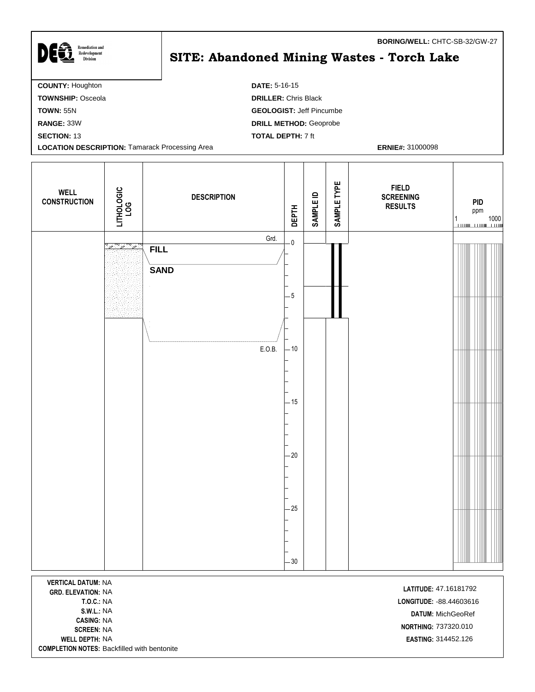| <b>Remediation and</b>                                | <b>BORING/WELL: CHTC-SB-32/GW-27</b>       |
|-------------------------------------------------------|--------------------------------------------|
| DEG<br>Redevelopment<br><b>Division</b>               | SITE: Abandoned Mining Wastes - Torch Lake |
| <b>COUNTY: Houghton</b>                               | <b>DATE: 5-16-15</b>                       |
| <b>TOWNSHIP: Osceola</b>                              | <b>DRILLER: Chris Black</b>                |
| <b>TOWN: 55N</b>                                      | <b>GEOLOGIST: Jeff Pincumbe</b>            |
| RANGE: 33W                                            | <b>DRILL METHOD: Geoprobe</b>              |
| <b>SECTION: 13</b>                                    | <b>TOTAL DEPTH: 7 ft</b>                   |
| <b>LOCATION DESCRIPTION: Tamarack Processing Area</b> | <b>ERNIE#: 31000098</b>                    |

| <b>WELL</b><br><b>CONSTRUCTION</b> | LITHOLOGIC<br>LOG | <b>DESCRIPTION</b>                 | <b>DEPTH</b>                    | SAMPLE ID | SAMPLE TYPE | <b>FIELD</b><br><b>SCREENING</b><br><b>RESULTS</b> | PID<br>ppm<br>$\frac{1}{1}$ 1000 |
|------------------------------------|-------------------|------------------------------------|---------------------------------|-----------|-------------|----------------------------------------------------|----------------------------------|
|                                    | ೢೢೲೢೲೢೲ           | Grd.<br><b>FILL</b><br><b>SAND</b> | $\overline{\mathbf{0}}$<br>$-5$ |           |             |                                                    |                                  |
|                                    |                   | E.O.B.                             | $-10$                           |           |             |                                                    |                                  |
|                                    |                   |                                    | $-15$<br>$-20$                  |           |             |                                                    |                                  |
|                                    |                   |                                    | $-25$<br>$-30$                  |           |             |                                                    |                                  |

**VERTICAL DATUM:** NA **LATITUDE:** 47.16181792<br>**GRD. ELEVATION:** NA **CASING:** NA SCREEN: NA **WELL DEPTH:** NA **EASTING:** 314452.126 **COMPLETION NOTES:** Backfilled with bentonite

**T.O.C.:** NA **LONGITUDE:** -88.44603616 **S.W.L.:** NA **DATUM:** MichGeoRef **NORTHING: 737320.010**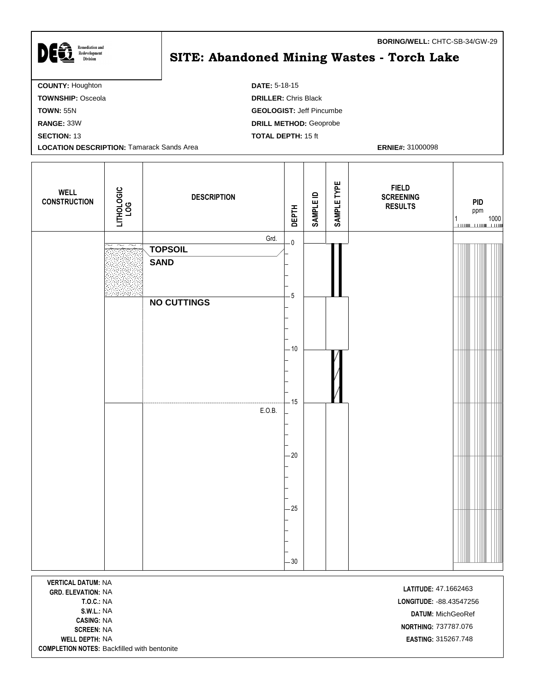| <b>Remediation and</b><br>Redevelopment<br><b>Division</b> | BORING/WELL: CHIC-SB-34/GW-29<br>SITE: Abandoned Mining Wastes - Torch Lake |
|------------------------------------------------------------|-----------------------------------------------------------------------------|
| <b>COUNTY: Houghton</b>                                    | <b>DATE: 5-18-15</b>                                                        |
| <b>TOWNSHIP: Osceola</b>                                   | <b>DRILLER: Chris Black</b>                                                 |
| <b>TOWN: 55N</b>                                           | <b>GEOLOGIST: Jeff Pincumbe</b>                                             |
| <b>RANGE: 33W</b>                                          | <b>DRILL METHOD: Geoprobe</b>                                               |
| <b>SECTION: 13</b>                                         | <b>TOTAL DEPTH: 15 ft</b>                                                   |
| <b>LOCATION DESCRIPTION: Tamarack Sands Area</b>           | <b>ERNIE#: 31000098</b>                                                     |
|                                                            |                                                                             |

| <b>WELL</b><br><b>CONSTRUCTION</b> | LITHOLOGIC<br>LOG | <b>DESCRIPTION</b>            | <b>DEPTH</b>            | <b>SAMPLE ID</b> | SAMPLE TYPE | <b>FIELD</b><br><b>SCREENING</b><br><b>RESULTS</b> |  | PID<br>ppm<br>$\begin{array}{c} 1 \\ \hline \end{array} \qquad \qquad \begin{array}{c} 1000 \\ \hline \end{array}$ |  |
|------------------------------------|-------------------|-------------------------------|-------------------------|------------------|-------------|----------------------------------------------------|--|--------------------------------------------------------------------------------------------------------------------|--|
|                                    |                   | Grd.                          | $\overline{\mathbf{0}}$ |                  |             |                                                    |  |                                                                                                                    |  |
|                                    |                   | <b>TOPSOIL</b><br><b>SAND</b> |                         |                  |             |                                                    |  |                                                                                                                    |  |
|                                    |                   |                               |                         |                  |             |                                                    |  |                                                                                                                    |  |
|                                    |                   | <b>NO CUTTINGS</b>            | $-5$                    |                  |             |                                                    |  |                                                                                                                    |  |
|                                    |                   |                               |                         |                  |             |                                                    |  |                                                                                                                    |  |
|                                    |                   |                               | $-10$                   |                  |             |                                                    |  |                                                                                                                    |  |
|                                    |                   | E.O.B.                        | $-15$                   |                  |             |                                                    |  |                                                                                                                    |  |
|                                    |                   |                               |                         |                  |             |                                                    |  |                                                                                                                    |  |
|                                    |                   |                               | $-20$                   |                  |             |                                                    |  |                                                                                                                    |  |
|                                    |                   |                               |                         |                  |             |                                                    |  |                                                                                                                    |  |
|                                    |                   |                               | $-25$                   |                  |             |                                                    |  |                                                                                                                    |  |
|                                    |                   |                               |                         |                  |             |                                                    |  |                                                                                                                    |  |
|                                    |                   |                               | $-30$                   |                  |             |                                                    |  |                                                                                                                    |  |

**VERTICAL DATUM:** NA **LATITUDE:** 47.1662463 **CASING:** NA **WELL DEPTH:** NA **EASTING:** 315267.748 **COMPLETION NOTES:** Backfilled with bentonite

**T.O.C.:** NA **LONGITUDE:** -88.43547256 **S.W.L.:** NA **DATUM:** MichGeoRef **NORTHING:** 737787.076<br>**SCREEN:** NA

**BORING/WELL:** CHTC-SB-34/GW-29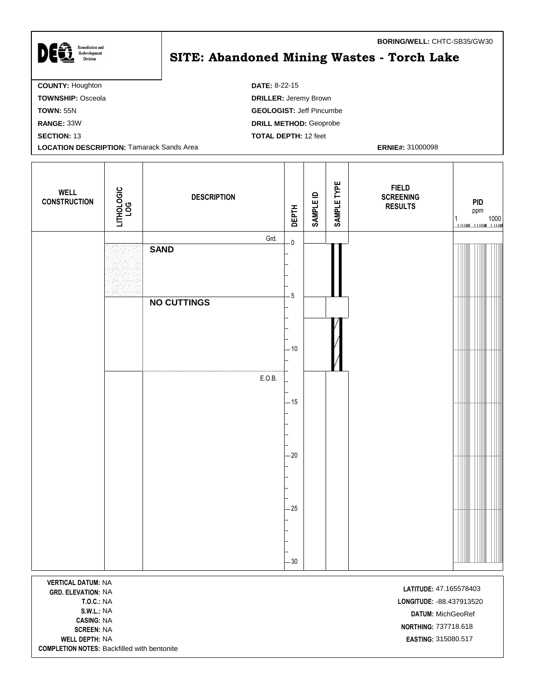| <b>Remediation and</b><br>Redevelopment<br><b>Division</b> | <b>BURING/WELL:</b> UTTU: 3D33/GW30<br>SITE: Abandoned Mining Wastes - Torch Lake |
|------------------------------------------------------------|-----------------------------------------------------------------------------------|
| <b>COUNTY: Houghton</b>                                    | <b>DATE: 8-22-15</b>                                                              |
| <b>TOWNSHIP: Osceola</b>                                   | <b>DRILLER: Jeremy Brown</b>                                                      |
| <b>TOWN: 55N</b>                                           | <b>GEOLOGIST: Jeff Pincumbe</b>                                                   |
| RANGE: 33W                                                 | <b>DRILL METHOD: Geoprobe</b>                                                     |
| <b>SECTION: 13</b>                                         | <b>TOTAL DEPTH: 12 feet</b>                                                       |
| <b>LOCATION DESCRIPTION: Tamarack Sands Area</b>           | <b>ERNIE#: 31000098</b>                                                           |
|                                                            |                                                                                   |

| <b>WELL</b><br><b>CONSTRUCTION</b> | LITHOLOGIC<br>LOG | <b>DESCRIPTION</b>  | <b>DEPTH</b>            | <b>SAMPLE ID</b> | SAMPLE TYPE | <b>FIELD</b><br><b>SCREENING</b><br><b>RESULTS</b> | PID<br>ppm<br>$\begin{array}{c c} 1 & 1000 \\ \hline \end{array}$ |
|------------------------------------|-------------------|---------------------|-------------------------|------------------|-------------|----------------------------------------------------|-------------------------------------------------------------------|
|                                    |                   | Grd.<br><b>SAND</b> | $\overline{\mathbf{0}}$ |                  |             |                                                    |                                                                   |
|                                    |                   |                     | $\overline{5}$          |                  |             |                                                    |                                                                   |
|                                    |                   | <b>NO CUTTINGS</b>  |                         |                  |             |                                                    |                                                                   |
|                                    |                   |                     | $-10$                   |                  |             |                                                    |                                                                   |
|                                    |                   | E.O.B.              | $-15$                   |                  |             |                                                    |                                                                   |
|                                    |                   |                     |                         |                  |             |                                                    |                                                                   |
|                                    |                   |                     | $-20$                   |                  |             |                                                    |                                                                   |
|                                    |                   |                     | $-25$                   |                  |             |                                                    |                                                                   |
|                                    |                   |                     | $-30$                   |                  |             |                                                    |                                                                   |

**VERTICAL DATUM:** NA **LATITUDE:** 47.165578403<br>**GRD. ELEVATION:** NA **CASING:** NA **WELL DEPTH:** NA **EASTING:** 315080.517 **COMPLETION NOTES:** Backfilled with bentonite

**T.O.C.:** NA **LONGITUDE:** -88.437913520 **S.W.L.:** NA **DATUM:** MichGeoRef **SCREEN:** NA<br>**SCREEN:** NA **NORTHING:** 737718.618

**BORING/WELL:** CHTC-SB35/GW30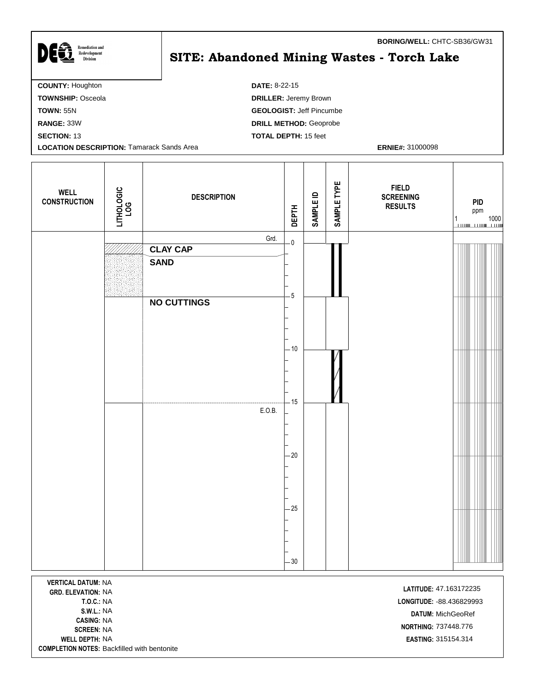$\sum \bigoplus \underbrace{\mathbf{R}_{\text{Rederelopment}}}_{\text{Division}}$ **SITE: Abandoned Mining Wastes - Torch Lake COUNTY:** Houghton **DATE:** 8-22-15 **TOWNSHIP:** Osceola **DRILLER:** Jeremy Brown **TOWN:** 55N **GEOLOGIST:** Jeff Pincumbe **RANGE:** 33W **DRILL METHOD:** Geoprobe **SECTION:** 13 **TOTAL DEPTH:** 15 feet **LOCATION DESCRIPTION:** Tamarack Sands Area **ERNIE#:** 31000098

| <b>WELL</b><br><b>CONSTRUCTION</b>                                                                                    | LITHOLOGIC<br>LOG | <b>DESCRIPTION</b> | <b>DEPTH</b>                    | <b>SAMPLE ID</b> | SAMPLE TYPE | <b>FIELD</b><br><b>SCREENING</b><br><b>RESULTS</b>                       | <b>PID</b><br>ppm<br>1000<br>1 |
|-----------------------------------------------------------------------------------------------------------------------|-------------------|--------------------|---------------------------------|------------------|-------------|--------------------------------------------------------------------------|--------------------------------|
|                                                                                                                       |                   |                    | Grd.<br>$\overline{\mathbf{0}}$ |                  |             |                                                                          |                                |
|                                                                                                                       |                   | <b>CLAY CAP</b>    |                                 |                  |             |                                                                          |                                |
|                                                                                                                       |                   | <b>SAND</b>        |                                 |                  |             |                                                                          |                                |
|                                                                                                                       |                   | <b>NO CUTTINGS</b> | $-5$                            |                  |             |                                                                          |                                |
|                                                                                                                       |                   |                    | $-10$                           |                  |             |                                                                          |                                |
|                                                                                                                       |                   |                    |                                 |                  |             |                                                                          |                                |
|                                                                                                                       |                   | E.O.B.             | $-15$                           |                  |             |                                                                          |                                |
|                                                                                                                       |                   |                    | $-20$                           |                  |             |                                                                          |                                |
|                                                                                                                       |                   |                    |                                 |                  |             |                                                                          |                                |
|                                                                                                                       |                   |                    |                                 |                  |             |                                                                          |                                |
|                                                                                                                       |                   |                    |                                 |                  |             |                                                                          |                                |
|                                                                                                                       |                   |                    | $-25$                           |                  |             |                                                                          |                                |
|                                                                                                                       |                   |                    |                                 |                  |             |                                                                          |                                |
|                                                                                                                       |                   |                    |                                 |                  |             |                                                                          |                                |
|                                                                                                                       |                   |                    | $-30$                           |                  |             |                                                                          |                                |
|                                                                                                                       |                   |                    |                                 |                  |             |                                                                          |                                |
| <b>VERTICAL DATUM: NA</b><br><b>GRD. ELEVATION: NA</b><br><b>T.O.C.: NA</b><br><b>S.W.L.: NA</b><br><b>CASING: NA</b> |                   |                    |                                 |                  |             | LATITUDE: 47.163172235<br>LONGITUDE: - 88.436829993<br>DATUM: MichGeoRef |                                |

**WELL DEPTH:** NA **EASTING:** 315154.314 **COMPLETION NOTES:** Backfilled with bentonite

I

**NORTHING:** 737448.776 **NORTHING:** 737448.776

**BORING/WELL:** CHTC-SB36/GW31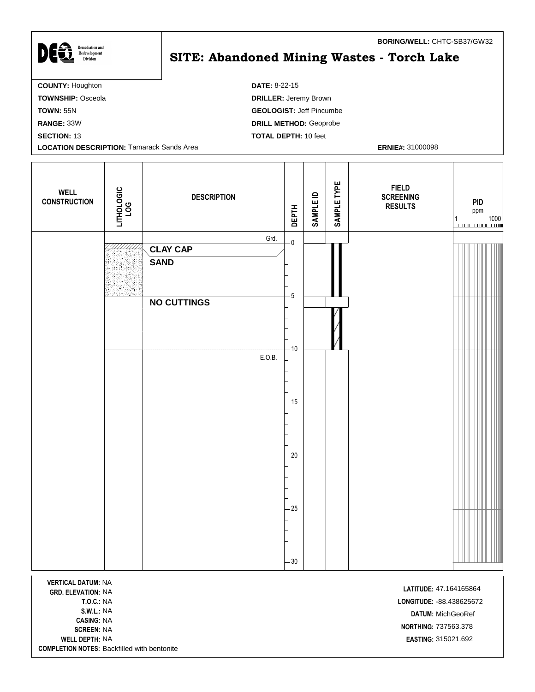| DES<br><b>Remediation and</b><br>Redevelopment<br><b>Division</b> | <b>BORING/WELL: CHTC-SB37/GW32</b><br>SITE: Abandoned Mining Wastes - Torch Lake |
|-------------------------------------------------------------------|----------------------------------------------------------------------------------|
| <b>COUNTY: Houghton</b>                                           | <b>DATE: 8-22-15</b>                                                             |
| <b>TOWNSHIP: Osceola</b>                                          | <b>DRILLER: Jeremy Brown</b>                                                     |
| <b>TOWN: 55N</b>                                                  | <b>GEOLOGIST: Jeff Pincumbe</b>                                                  |
| <b>RANGE: 33W</b>                                                 | <b>DRILL METHOD: Geoprobe</b>                                                    |
| <b>SECTION: 13</b>                                                | <b>TOTAL DEPTH: 10 feet</b>                                                      |
| <b>LOCATION DESCRIPTION: Tamarack Sands Area</b>                  | <b>ERNIE#: 31000098</b>                                                          |
|                                                                   |                                                                                  |

| <b>WELL</b><br><b>CONSTRUCTION</b> | LITHOLOGIC<br>LOG | <b>DESCRIPTION</b> | <b>DEPTH</b>            | <b>SAMPLE ID</b> | SAMPLE TYPE | <b>FIELD</b><br><b>SCREENING</b><br><b>RESULTS</b> | PID<br>ppm<br>$\begin{array}{c} 1 \\ \hline \end{array} \qquad \qquad \begin{array}{c} 1000 \\ \hline \end{array}$ |  |
|------------------------------------|-------------------|--------------------|-------------------------|------------------|-------------|----------------------------------------------------|--------------------------------------------------------------------------------------------------------------------|--|
|                                    |                   | Grd.               | $\overline{\mathbf{0}}$ |                  |             |                                                    |                                                                                                                    |  |
|                                    |                   | <b>CLAY CAP</b>    |                         |                  |             |                                                    |                                                                                                                    |  |
|                                    |                   | <b>SAND</b>        | $-5$                    |                  |             |                                                    |                                                                                                                    |  |
|                                    |                   | <b>NO CUTTINGS</b> |                         |                  |             |                                                    |                                                                                                                    |  |
|                                    |                   |                    | $-10$                   |                  |             |                                                    |                                                                                                                    |  |
|                                    |                   | E.O.B.             |                         |                  |             |                                                    |                                                                                                                    |  |
|                                    |                   |                    | $-15$                   |                  |             |                                                    |                                                                                                                    |  |
|                                    |                   |                    |                         |                  |             |                                                    |                                                                                                                    |  |
|                                    |                   |                    | $-20$                   |                  |             |                                                    |                                                                                                                    |  |
|                                    |                   |                    | $-25$<br>$-30$          |                  |             |                                                    |                                                                                                                    |  |
|                                    |                   |                    |                         |                  |             |                                                    |                                                                                                                    |  |

**VERTICAL DATUM:** NA NA **LATITUDE: GRD. ELEVATION:** 47.164165864 **CASING:** NA **WELL DEPTH:** NA **EASTING:** 315021.692 **COMPLETION NOTES:** Backfilled with bentonite

**T.O.C.:** NA **LONGITUDE:** -88.438625672 **S.W.L.:** NA **DATUM:** MichGeoRef **NORTHING:** 737563.378<br>**SCREEN:** NA

**BORING/WELL:** CHTC-SB37/GW32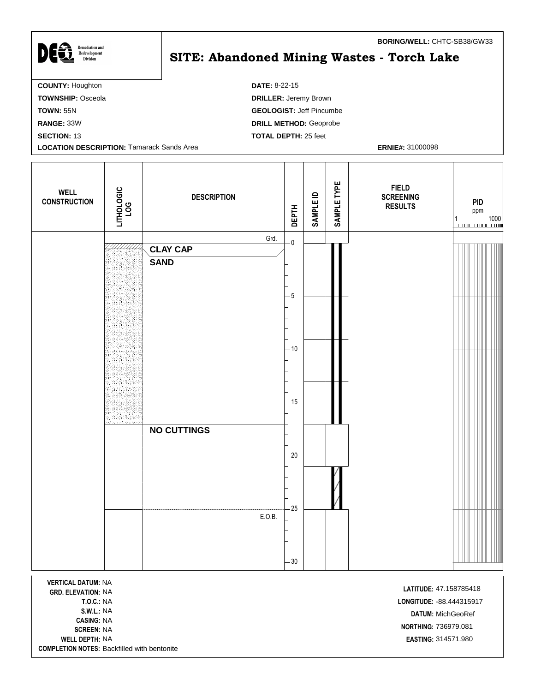## $\sum \bigoplus \underbrace{\mathbf{R}_{\text{Rederelopment}}}_{\text{Division}}$ **SITE: Abandoned Mining Wastes - Torch Lake COUNTY:** Houghton **DATE:** 8-22-15 **TOWNSHIP:** Osceola **DRILLER:** Jeremy Brown **TOWN:** 55N **GEOLOGIST:** Jeff Pincumbe **RANGE:** 33W **DRILL METHOD:** Geoprobe **SECTION:** 13 **TOTAL DEPTH:** 25 feet **LOCATION DESCRIPTION:** Tamarack Sands Area **ERNIE#:** 31000098

| <b>WELL</b><br><b>CONSTRUCTION</b>                                                                                                                                  | LITHOLOGIC<br>LOG | <b>DESCRIPTION</b>                     | <b>DEPTH</b>                    | SAMPLE ID | SAMPLE TYPE | <b>FIELD</b><br><b>SCREENING</b><br><b>RESULTS</b>                                                                      | <b>PID</b><br>ppm<br>1000<br>1 |
|---------------------------------------------------------------------------------------------------------------------------------------------------------------------|-------------------|----------------------------------------|---------------------------------|-----------|-------------|-------------------------------------------------------------------------------------------------------------------------|--------------------------------|
|                                                                                                                                                                     |                   | Grd.<br><b>CLAY CAP</b><br><b>SAND</b> | $\overline{\mathbf{0}}$<br>$-5$ |           |             |                                                                                                                         |                                |
|                                                                                                                                                                     |                   |                                        | $-10$                           |           |             |                                                                                                                         |                                |
|                                                                                                                                                                     |                   | <b>NO CUTTINGS</b>                     | $-15$<br>$-20$                  |           |             |                                                                                                                         |                                |
|                                                                                                                                                                     |                   | E.O.B.                                 | $-25$<br>$-30$                  |           |             |                                                                                                                         |                                |
| <b>VERTICAL DATUM: NA</b><br><b>GRD. ELEVATION: NA</b><br><b>T.O.C.: NA</b><br><b>S.W.L.: NA</b><br><b>CASING: NA</b><br><b>SCREEN: NA</b><br><b>WELL DEPTH: NA</b> |                   |                                        |                                 |           |             | LATITUDE: 47.158785418<br>LONGITUDE: - 88.444315917<br>DATUM: MichGeoRef<br>NORTHING: 736979.081<br>EASTING: 314571.980 |                                |

**COMPLETION NOTES:** Backfilled with bentonite

**BORING/WELL:** CHTC-SB38/GW33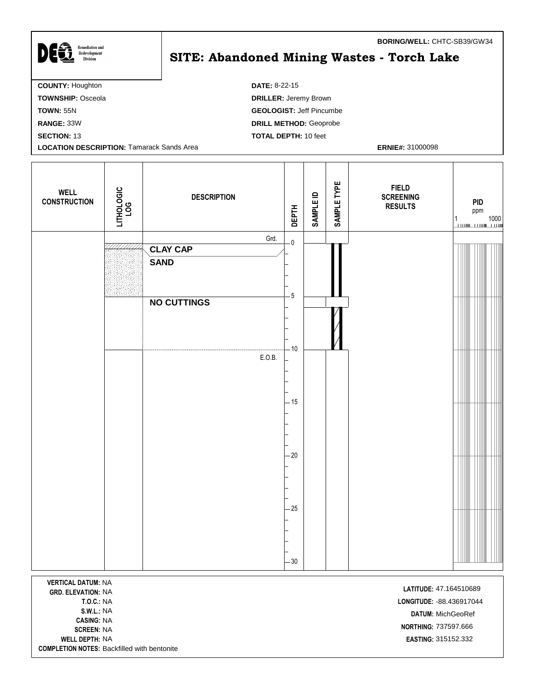| <b>DI TO</b><br>Redevelopment<br><b>Division</b> | <b>SITE: Abandoned Mining Wastes - Torch Lake</b> |
|--------------------------------------------------|---------------------------------------------------|
| <b>COUNTY: Houghton</b>                          | <b>DATE: 8-22-15</b>                              |
| <b>TOWNSHIP: Osceola</b>                         | <b>DRILLER: Jeremy Brown</b>                      |
| <b>TOWN: 55N</b>                                 | <b>GEOLOGIST: Jeff Pincumbe</b>                   |
| <b>RANGE: 33W</b>                                | <b>DRILL METHOD: Geoprobe</b>                     |
| <b>SECTION: 13</b>                               | <b>TOTAL DEPTH: 10 feet</b>                       |
| <b>LOCATION DESCRIPTION: Tamarack Sands Area</b> | <b>ERNIE#: 31000098</b>                           |
|                                                  |                                                   |

| <b>WELL</b><br><b>CONSTRUCTION</b> | LITHOLOGIC<br>LOG | <b>DESCRIPTION</b> | <b>DEPTH</b>            | <b>SAMPLE ID</b> | SAMPLE TYPE | <b>FIELD</b><br><b>SCREENING</b><br><b>RESULTS</b> | PID<br>ppm<br>$\begin{array}{c} 1 \\ \hline \end{array} \qquad \qquad \begin{array}{c} 1000 \\ \hline \end{array}$ |  |
|------------------------------------|-------------------|--------------------|-------------------------|------------------|-------------|----------------------------------------------------|--------------------------------------------------------------------------------------------------------------------|--|
|                                    |                   | Grd.               | $\overline{\mathbf{0}}$ |                  |             |                                                    |                                                                                                                    |  |
|                                    |                   | <b>CLAY CAP</b>    |                         |                  |             |                                                    |                                                                                                                    |  |
|                                    |                   | <b>SAND</b>        | $\sqrt{5}$              |                  |             |                                                    |                                                                                                                    |  |
|                                    |                   | <b>NO CUTTINGS</b> |                         |                  |             |                                                    |                                                                                                                    |  |
|                                    |                   |                    | $-10$                   |                  |             |                                                    |                                                                                                                    |  |
|                                    |                   | E.O.B.             |                         |                  |             |                                                    |                                                                                                                    |  |
|                                    |                   |                    |                         |                  |             |                                                    |                                                                                                                    |  |
|                                    |                   |                    |                         |                  |             |                                                    |                                                                                                                    |  |
|                                    |                   |                    |                         |                  |             |                                                    |                                                                                                                    |  |
|                                    |                   |                    | $-15$                   |                  |             |                                                    |                                                                                                                    |  |
|                                    |                   |                    |                         |                  |             |                                                    |                                                                                                                    |  |
|                                    |                   |                    |                         |                  |             |                                                    |                                                                                                                    |  |
|                                    |                   |                    |                         |                  |             |                                                    |                                                                                                                    |  |
|                                    |                   |                    | $-20$                   |                  |             |                                                    |                                                                                                                    |  |
|                                    |                   |                    |                         |                  |             |                                                    |                                                                                                                    |  |
|                                    |                   |                    |                         |                  |             |                                                    |                                                                                                                    |  |
|                                    |                   |                    |                         |                  |             |                                                    |                                                                                                                    |  |
|                                    |                   |                    | $-25$                   |                  |             |                                                    |                                                                                                                    |  |
|                                    |                   |                    |                         |                  |             |                                                    |                                                                                                                    |  |
|                                    |                   |                    |                         |                  |             |                                                    |                                                                                                                    |  |
|                                    |                   |                    |                         |                  |             |                                                    |                                                                                                                    |  |
|                                    |                   |                    |                         |                  |             |                                                    |                                                                                                                    |  |
|                                    |                   |                    | $-30$                   |                  |             |                                                    |                                                                                                                    |  |

**VERTICAL DATUM:** NA NA **LATITUDE: GRD. ELEVATION:** 47.164510689 **CASING:** NA **WELL DEPTH:** NA **EASTING:** 315152.332 **COMPLETION NOTES:** Backfilled with bentonite

Remediation and

**T.O.C.:** NA **LONGITUDE:** -88.436917044 **S.W.L.:** NA **DATUM:** MichGeoRef **NORTHING:** 737597.666<br>**SCREEN:** NA

**BORING/WELL:** CHTC-SB39/GW34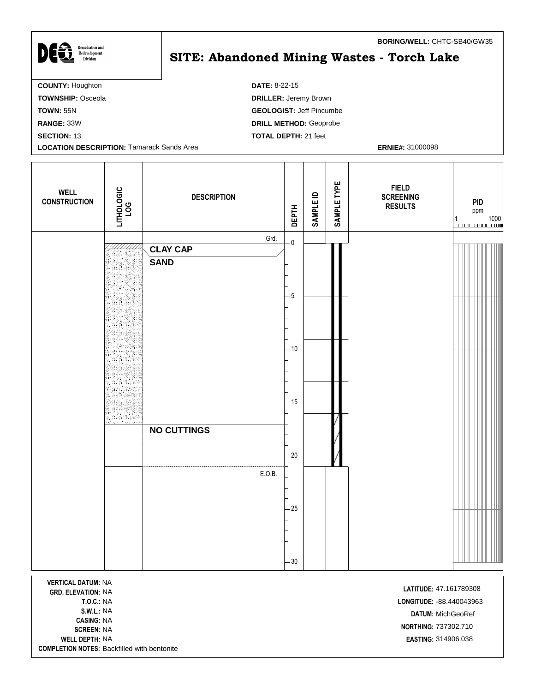| <b>DEE</b><br><b>Remediation and</b><br>Redevelopment<br><b>Division</b> | <b>BORING/WELL: CHTC-SB40/GW35</b><br>SITE: Abandoned Mining Wastes - Torch Lake |
|--------------------------------------------------------------------------|----------------------------------------------------------------------------------|
| <b>COUNTY: Houghton</b>                                                  | <b>DATE: 8-22-15</b>                                                             |
| <b>TOWNSHIP: Osceola</b>                                                 | <b>DRILLER: Jeremy Brown</b>                                                     |
| <b>TOWN: 55N</b>                                                         | <b>GEOLOGIST: Jeff Pincumbe</b>                                                  |
| <b>RANGE: 33W</b>                                                        | <b>DRILL METHOD: Geoprobe</b>                                                    |
| <b>SECTION: 13</b>                                                       | <b>TOTAL DEPTH: 21 feet</b>                                                      |
| <b>LOCATION DESCRIPTION: Tamarack Sands Area</b>                         | <b>ERNIE#: 31000098</b>                                                          |
|                                                                          |                                                                                  |

| <b>WELL</b><br><b>CONSTRUCTION</b>                     | LITHOLOGIC<br>LOG | <b>DESCRIPTION</b> | <b>DEPTH</b>            | <b>SAMPLE ID</b> | SAMPLE TYPE | <b>FIELD</b><br><b>SCREENING</b><br><b>RESULTS</b> | <b>PID</b><br>ppm<br>$\frac{1}{1}$ 1000 |
|--------------------------------------------------------|-------------------|--------------------|-------------------------|------------------|-------------|----------------------------------------------------|-----------------------------------------|
|                                                        |                   | Grd.               | $\overline{\mathbf{0}}$ |                  |             |                                                    |                                         |
|                                                        |                   | <b>CLAY CAP</b>    |                         |                  |             |                                                    |                                         |
|                                                        |                   | <b>SAND</b>        | $-5$                    |                  |             |                                                    |                                         |
|                                                        |                   |                    |                         |                  |             |                                                    |                                         |
|                                                        |                   |                    | $-10$                   |                  |             |                                                    |                                         |
|                                                        |                   | <b>NO CUTTINGS</b> | $-15$                   |                  |             |                                                    |                                         |
|                                                        |                   | E.O.B.             | $-20$                   |                  |             |                                                    |                                         |
|                                                        |                   |                    | $-25$<br>$-30$          |                  |             |                                                    |                                         |
| <b>VERTICAL DATUM: NA</b><br><b>GRD. ELEVATION: NA</b> |                   |                    |                         |                  |             | LATITUDE: 47.161789308                             |                                         |

**CASING:** NA **WELL DEPTH:** NA **EASTING:** 314906.038 **COMPLETION NOTES:** Backfilled with bentonite

**T.O.C.:** NA **LONGITUDE:** -88.440043963 **S.W.L.:** NA **DATUM:** MichGeoRef **SCREEN:** NA<br>**SCREEN:** NA<br>**SCREEN:** NA

**BORING/WELL:** CHTC-SB40/GW35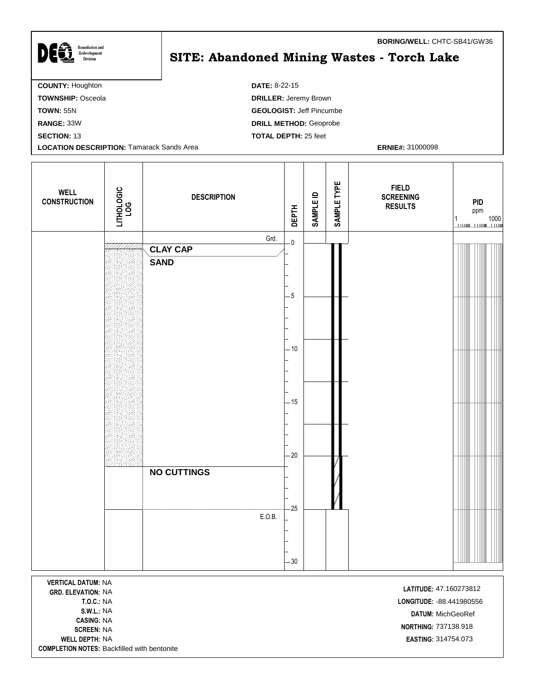| <b>Remediation and</b><br>Redevelopment<br><b>Division</b> | <b>BURING/WELL: UNIC-3D41/GW30</b><br>SITE: Abandoned Mining Wastes - Torch Lake |
|------------------------------------------------------------|----------------------------------------------------------------------------------|
| <b>COUNTY: Houghton</b>                                    | <b>DATE: 8-22-15</b>                                                             |
| <b>TOWNSHIP: Osceola</b>                                   | <b>DRILLER: Jeremy Brown</b>                                                     |
| <b>TOWN: 55N</b>                                           | <b>GEOLOGIST: Jeff Pincumbe</b>                                                  |
| RANGE: 33W                                                 | <b>DRILL METHOD: Geoprobe</b>                                                    |
| <b>SECTION: 13</b>                                         | <b>TOTAL DEPTH: 25 feet</b>                                                      |
| <b>LOCATION DESCRIPTION: Tamarack Sands Area</b>           | <b>ERNIE#: 31000098</b>                                                          |
|                                                            |                                                                                  |

| <b>WELL</b><br><b>CONSTRUCTION</b> | LITHOLOGIC<br>LOG | <b>DESCRIPTION</b>             | DEPTH | <b>SAMPLE ID</b> | SAMPLE TYPE | <b>FIELD</b><br><b>SCREENING</b><br><b>RESULTS</b> | <b>PID</b><br>ppm<br>$\begin{array}{c} 1 \\ \hline \end{array} \qquad \qquad \begin{array}{c} 1000 \\ \hline \end{array}$ |
|------------------------------------|-------------------|--------------------------------|-------|------------------|-------------|----------------------------------------------------|---------------------------------------------------------------------------------------------------------------------------|
|                                    |                   | Grd.                           | $-0$  |                  |             |                                                    |                                                                                                                           |
|                                    |                   | <b>CLAY CAP</b><br><b>SAND</b> |       |                  |             |                                                    |                                                                                                                           |
|                                    |                   |                                |       |                  |             |                                                    |                                                                                                                           |
|                                    |                   |                                | $-5$  |                  |             |                                                    |                                                                                                                           |
|                                    |                   |                                |       |                  |             |                                                    |                                                                                                                           |
|                                    |                   |                                |       |                  |             |                                                    |                                                                                                                           |
|                                    |                   |                                |       |                  |             |                                                    |                                                                                                                           |
|                                    |                   |                                | $-10$ |                  |             |                                                    |                                                                                                                           |
|                                    |                   |                                |       |                  |             |                                                    |                                                                                                                           |
|                                    |                   |                                |       |                  |             |                                                    |                                                                                                                           |
|                                    |                   |                                | $-15$ |                  |             |                                                    |                                                                                                                           |
|                                    |                   |                                |       |                  |             |                                                    |                                                                                                                           |
|                                    |                   |                                |       |                  |             |                                                    |                                                                                                                           |
|                                    |                   |                                | $-20$ |                  |             |                                                    |                                                                                                                           |
|                                    |                   | <b>NO CUTTINGS</b>             |       |                  |             |                                                    |                                                                                                                           |
|                                    |                   |                                |       |                  |             |                                                    |                                                                                                                           |
|                                    |                   |                                | $-25$ |                  |             |                                                    |                                                                                                                           |
|                                    |                   | E.O.B.                         |       |                  |             |                                                    |                                                                                                                           |
|                                    |                   |                                |       |                  |             |                                                    |                                                                                                                           |
|                                    |                   |                                | $-30$ |                  |             |                                                    |                                                                                                                           |
|                                    |                   |                                |       |                  |             |                                                    |                                                                                                                           |

**VERTICAL DATUM:** NA **LATITUDE:** 47.160273812 **CASING:** NA **NORTHING:** 737138.918 **WELL DEPTH:** NA **EASTING:** 314754.073 **COMPLETION NOTES:** Backfilled with bentonite

**T.O.C.:** NA **LONGITUDE:** -88.441980556 **S.W.L.:** NA **DATUM:** MichGeoRef

**BORING/WELL:** CHTC-SB41/GW36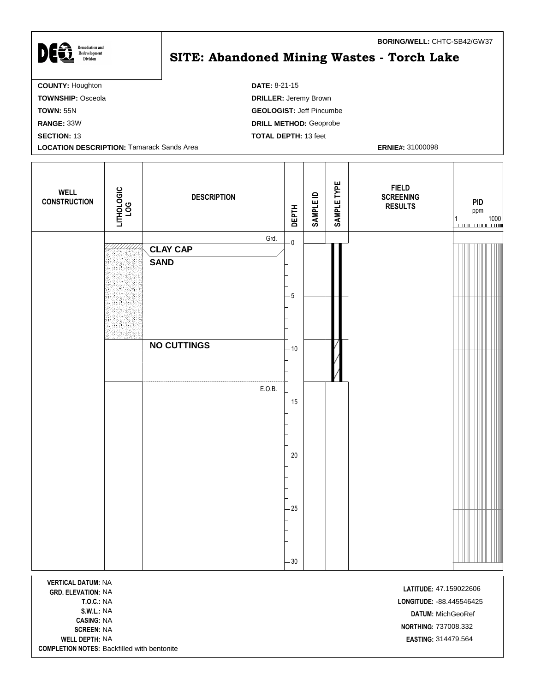| <b>Remediation and</b><br>Redevelopment<br><b>Division</b> | <b>BURING/WELL:</b> UTIL 3D4Z/GW3/<br>SITE: Abandoned Mining Wastes - Torch Lake |
|------------------------------------------------------------|----------------------------------------------------------------------------------|
| <b>COUNTY: Houghton</b>                                    | <b>DATE: 8-21-15</b>                                                             |
| <b>TOWNSHIP: Osceola</b>                                   | <b>DRILLER: Jeremy Brown</b>                                                     |
| <b>TOWN: 55N</b>                                           | <b>GEOLOGIST: Jeff Pincumbe</b>                                                  |
| RANGE: 33W                                                 | <b>DRILL METHOD: Geoprobe</b>                                                    |
| <b>SECTION: 13</b>                                         | <b>TOTAL DEPTH: 13 feet</b>                                                      |
| <b>LOCATION DESCRIPTION: Tamarack Sands Area</b>           | <b>ERNIE#: 31000098</b>                                                          |
|                                                            |                                                                                  |

| <b>WELL</b><br><b>CONSTRUCTION</b> | LITHOLOGIC<br>LOG | <b>DESCRIPTION</b>             | <b>DEPTH</b>            | <b>SAMPLE ID</b> | SAMPLE TYPE | <b>FIELD</b><br><b>SCREENING</b><br><b>RESULTS</b> | PID<br>ppm<br>$\begin{array}{c} 1 \\ \hline \end{array} \qquad \qquad \begin{array}{c} 1000 \\ \hline \end{array}$ |  |
|------------------------------------|-------------------|--------------------------------|-------------------------|------------------|-------------|----------------------------------------------------|--------------------------------------------------------------------------------------------------------------------|--|
|                                    |                   | Grd.                           | $\overline{\mathbf{0}}$ |                  |             |                                                    |                                                                                                                    |  |
|                                    |                   | <b>CLAY CAP</b><br><b>SAND</b> |                         |                  |             |                                                    |                                                                                                                    |  |
|                                    |                   |                                |                         |                  |             |                                                    |                                                                                                                    |  |
|                                    |                   |                                | $-5$                    |                  |             |                                                    |                                                                                                                    |  |
|                                    |                   |                                |                         |                  |             |                                                    |                                                                                                                    |  |
|                                    |                   |                                |                         |                  |             |                                                    |                                                                                                                    |  |
|                                    |                   | <b>NO CUTTINGS</b>             | $-10$                   |                  |             |                                                    |                                                                                                                    |  |
|                                    |                   |                                |                         |                  |             |                                                    |                                                                                                                    |  |
|                                    |                   |                                |                         |                  |             |                                                    |                                                                                                                    |  |
|                                    |                   | E.O.B.                         |                         |                  |             |                                                    |                                                                                                                    |  |
|                                    |                   |                                | $-15$                   |                  |             |                                                    |                                                                                                                    |  |
|                                    |                   |                                |                         |                  |             |                                                    |                                                                                                                    |  |
|                                    |                   |                                |                         |                  |             |                                                    |                                                                                                                    |  |
|                                    |                   |                                | $-20$                   |                  |             |                                                    |                                                                                                                    |  |
|                                    |                   |                                |                         |                  |             |                                                    |                                                                                                                    |  |
|                                    |                   |                                |                         |                  |             |                                                    |                                                                                                                    |  |
|                                    |                   |                                | $-25$                   |                  |             |                                                    |                                                                                                                    |  |
|                                    |                   |                                |                         |                  |             |                                                    |                                                                                                                    |  |
|                                    |                   |                                |                         |                  |             |                                                    |                                                                                                                    |  |
|                                    |                   |                                | $-30$                   |                  |             |                                                    |                                                                                                                    |  |

**VERTICAL DATUM:** NA **LATITUDE:** 47.159022606<br>**GRD. ELEVATION:** NA **CASING:** NA **WELL DEPTH:** NA **EASTING:** 314479.564 **COMPLETION NOTES:** Backfilled with bentonite

**T.O.C.:** NA **LONGITUDE:** -88.445546425 **S.W.L.:** NA **DATUM:** MichGeoRef **SCREEN:** NA<br>**SCREEN:** NA<br>**SCREEN:** NA

**BORING/WELL:** CHTC-SB42/GW37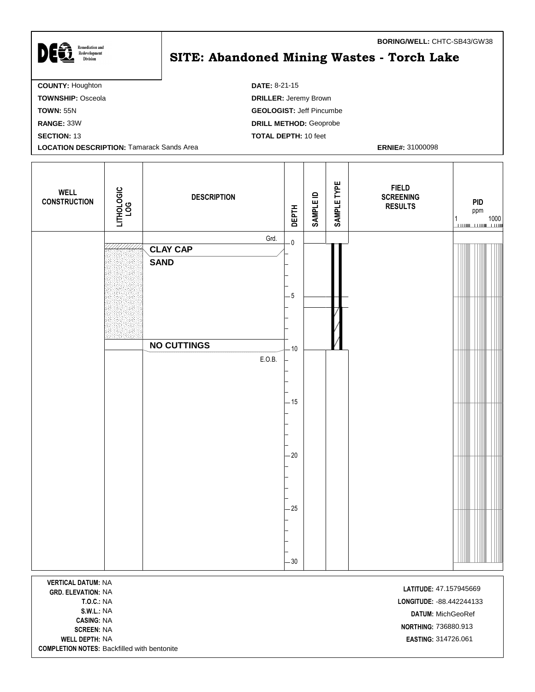| <b>Remediation and</b><br>Redevelopment<br><b>Division</b> | <b>BURING/WELL: UHTU-0043/UW38</b><br><b>SITE: Abandoned Mining Wastes - Torch Lake</b> |
|------------------------------------------------------------|-----------------------------------------------------------------------------------------|
| <b>COUNTY: Houghton</b>                                    | <b>DATE: 8-21-15</b>                                                                    |
| <b>TOWNSHIP: Osceola</b>                                   | <b>DRILLER: Jeremy Brown</b>                                                            |
| <b>TOWN: 55N</b>                                           | <b>GEOLOGIST: Jeff Pincumbe</b>                                                         |
| RANGE: 33W                                                 | <b>DRILL METHOD: Geoprobe</b>                                                           |
| <b>SECTION: 13</b>                                         | <b>TOTAL DEPTH: 10 feet</b>                                                             |
| <b>LOCATION DESCRIPTION: Tamarack Sands Area</b>           | <b>ERNIE#: 31000098</b>                                                                 |
|                                                            |                                                                                         |

┯

Т

⊤

Т

| <b>WELL</b><br><b>CONSTRUCTION</b> | LITHOLOGIC<br>LOG | <b>DESCRIPTION</b>      | <b>DEPTH</b>            | <b>SAMPLE ID</b> | SAMPLE TYPE | <b>FIELD</b><br><b>SCREENING</b><br><b>RESULTS</b> | <b>PID</b><br>ppm<br>$\begin{array}{c} 1 \\ \hline \end{array} \qquad \qquad \begin{array}{c} 1000 \\ \hline \end{array}$ |
|------------------------------------|-------------------|-------------------------|-------------------------|------------------|-------------|----------------------------------------------------|---------------------------------------------------------------------------------------------------------------------------|
|                                    |                   | Grd.<br><b>CLAY CAP</b> | $\overline{\mathbf{0}}$ |                  |             |                                                    |                                                                                                                           |
|                                    |                   | <b>SAND</b>             |                         |                  |             |                                                    |                                                                                                                           |
|                                    |                   |                         | $-5$                    |                  |             |                                                    |                                                                                                                           |
|                                    |                   |                         |                         |                  |             |                                                    |                                                                                                                           |
|                                    |                   | <b>NO CUTTINGS</b>      | $-10$                   |                  |             |                                                    |                                                                                                                           |
|                                    |                   | E.O.B.                  |                         |                  |             |                                                    |                                                                                                                           |
|                                    |                   |                         | $-15$                   |                  |             |                                                    |                                                                                                                           |
|                                    |                   |                         | $-20$                   |                  |             |                                                    |                                                                                                                           |
|                                    |                   |                         |                         |                  |             |                                                    |                                                                                                                           |
|                                    |                   |                         | $-25$                   |                  |             |                                                    |                                                                                                                           |
|                                    |                   |                         |                         |                  |             |                                                    |                                                                                                                           |
|                                    |                   |                         | $-30$                   |                  |             |                                                    |                                                                                                                           |
|                                    |                   |                         |                         |                  |             |                                                    |                                                                                                                           |

**VERTICAL DATUM:** NA **LATITUDE:** 47.157945669<br> **GRD. ELEVATION:** NA **CASING:** NA **WELL DEPTH:** NA **EASTING:** 314726.061 **COMPLETION NOTES:** Backfilled with bentonite

**T.O.C.:** NA **LONGITUDE:** -88.442244133 **S.W.L.:** NA **DATUM:** MichGeoRef **SCREEN:** NA<br>**SCREEN:** NA<br>**SCREEN:** NA

**BORING/WELL:** CHTC-SB43/GW38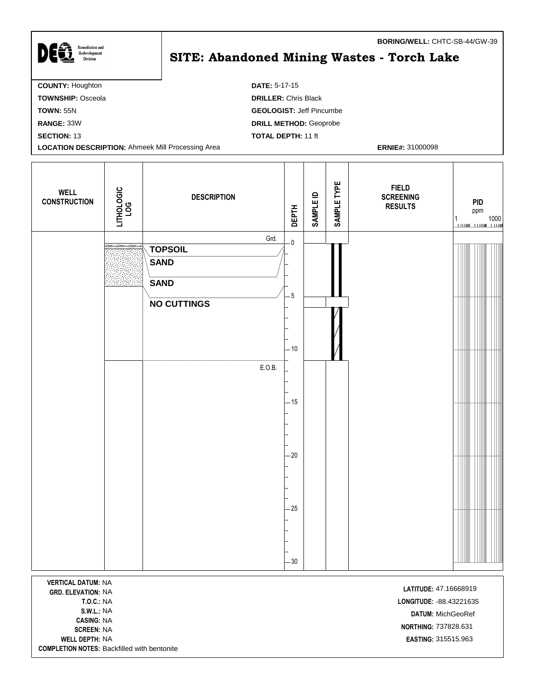| DES<br><b>Remediation and</b><br>Redevelopment<br><b>Division</b> | <b>BORING/WELL: CHTC-SB-44/GW-39</b><br><b>SITE: Abandoned Mining Wastes - Torch Lake</b> |
|-------------------------------------------------------------------|-------------------------------------------------------------------------------------------|
| <b>COUNTY: Houghton</b>                                           | <b>DATE: 5-17-15</b>                                                                      |
| <b>TOWNSHIP: Osceola</b>                                          | <b>DRILLER: Chris Black</b>                                                               |
| <b>TOWN: 55N</b>                                                  | <b>GEOLOGIST: Jeff Pincumbe</b>                                                           |
| RANGE: 33W                                                        | <b>DRILL METHOD: Geoprobe</b>                                                             |
| <b>SECTION: 13</b>                                                | <b>TOTAL DEPTH: 11 ft</b>                                                                 |
| <b>LOCATION DESCRIPTION: Ahmeek Mill Processing Area</b>          | <b>ERNIE#: 31000098</b>                                                                   |

 $\mathbf l$ 

| <b>WELL</b><br><b>CONSTRUCTION</b> | LITHOLOGIC<br>LOG | <b>DESCRIPTION</b>            | <b>DEPTH</b>            | <b>SAMPLE ID</b> | SAMPLE TYPE | <b>FIELD</b><br><b>SCREENING</b><br><b>RESULTS</b> | PID<br>ppm |
|------------------------------------|-------------------|-------------------------------|-------------------------|------------------|-------------|----------------------------------------------------|------------|
|                                    |                   | Grd.                          | $\overline{\mathbf{0}}$ |                  |             |                                                    |            |
|                                    |                   | <b>TOPSOIL</b><br><b>SAND</b> |                         |                  |             |                                                    |            |
|                                    |                   | <b>SAND</b>                   |                         |                  |             |                                                    |            |
|                                    |                   |                               | $-5$                    |                  |             |                                                    |            |
|                                    |                   | <b>NO CUTTINGS</b>            |                         |                  |             |                                                    |            |
|                                    |                   |                               | $-10$                   |                  |             |                                                    |            |
|                                    |                   | E.O.B.                        | $-15$                   |                  |             |                                                    |            |
|                                    |                   |                               | $-20$                   |                  |             |                                                    |            |
|                                    |                   |                               | $-25$                   |                  |             |                                                    |            |
|                                    |                   |                               | $-30$                   |                  |             |                                                    |            |
|                                    |                   |                               |                         |                  |             |                                                    |            |

**VERTICAL DATUM:** NA **LATITUDE:** 47.16668919<br> **GRD. ELEVATION:** NA **CASING:** NA **WELL DEPTH:** NA **EASTING:** 315515.963 **COMPLETION NOTES:** Backfilled with bentonite

I

**T.O.C.:** NA **LONGITUDE:** -88.43221635 **S.W.L.:** NA **DATUM:** MichGeoRef **NORTHING:** 737828.631<br>**SCREEN:** NA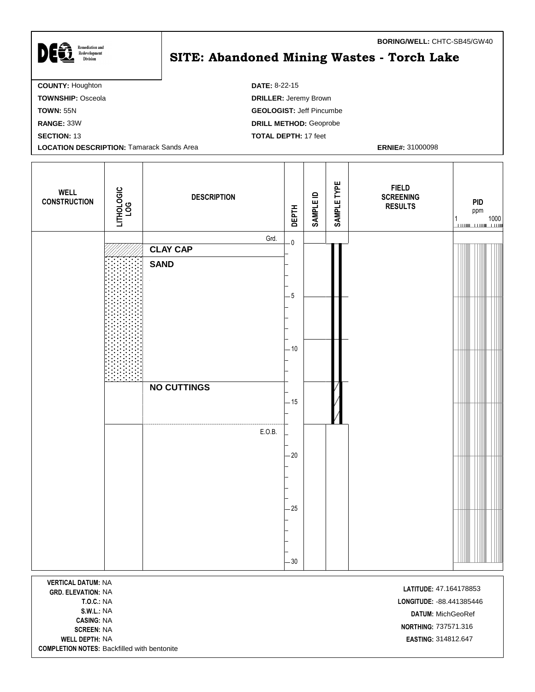| DE&<br><b>Remediation and</b><br>Redevelopment<br><b>Division</b> | <b>BURING/WELL: UHIU SB43/UW40</b><br>SITE: Abandoned Mining Wastes - Torch Lake |
|-------------------------------------------------------------------|----------------------------------------------------------------------------------|
| <b>COUNTY: Houghton</b>                                           | <b>DATE: 8-22-15</b>                                                             |
| <b>TOWNSHIP: Osceola</b>                                          | <b>DRILLER: Jeremy Brown</b>                                                     |
| <b>TOWN: 55N</b>                                                  | <b>GEOLOGIST: Jeff Pincumbe</b>                                                  |
| RANGE: 33W                                                        | <b>DRILL METHOD: Geoprobe</b>                                                    |
| <b>SECTION: 13</b>                                                | <b>TOTAL DEPTH: 17 feet</b>                                                      |
| <b>LOCATION DESCRIPTION: Tamarack Sands Area</b>                  | <b>ERNIE#: 31000098</b>                                                          |
|                                                                   |                                                                                  |

| <b>WELL</b><br><b>CONSTRUCTION</b>                     | LITHOLOGIC<br>LOG | <b>DESCRIPTION</b> | <b>DEPTH</b>            | <b>SAMPLE ID</b> | SAMPLE TYPE | <b>FIELD</b><br><b>SCREENING</b><br><b>RESULTS</b> | <b>PID</b><br>ppm<br>1 |
|--------------------------------------------------------|-------------------|--------------------|-------------------------|------------------|-------------|----------------------------------------------------|------------------------|
|                                                        |                   | Grd.               | $\overline{\mathbf{0}}$ |                  |             |                                                    |                        |
|                                                        |                   | <b>CLAY CAP</b>    |                         |                  |             |                                                    |                        |
|                                                        |                   | <b>SAND</b>        | $-5$                    |                  |             |                                                    |                        |
|                                                        |                   |                    |                         |                  |             |                                                    |                        |
|                                                        |                   |                    | $-10$                   |                  |             |                                                    |                        |
|                                                        |                   | <b>NO CUTTINGS</b> | $-15$                   |                  |             |                                                    |                        |
|                                                        |                   | E.O.B.             | $-20$                   |                  |             |                                                    |                        |
|                                                        |                   |                    | $-25$                   |                  |             |                                                    |                        |
|                                                        |                   |                    | $-30$                   |                  |             |                                                    |                        |
| <b>VERTICAL DATUM: NA</b><br><b>GRD. ELEVATION: NA</b> |                   |                    |                         |                  |             | LATITUDE: 47.164178853                             |                        |

**CASING:** NA **WELL DEPTH:** NA **EASTING:** 314812.647 **COMPLETION NOTES:** Backfilled with bentonite

**T.O.C.:** NA **LONGITUDE:** -88.441385446 **S.W.L.:** NA **DATUM:** MichGeoRef **SCREEN:** NA<br>**SCREEN:** NA

**BORING/WELL:** CHTC-SB45/GW40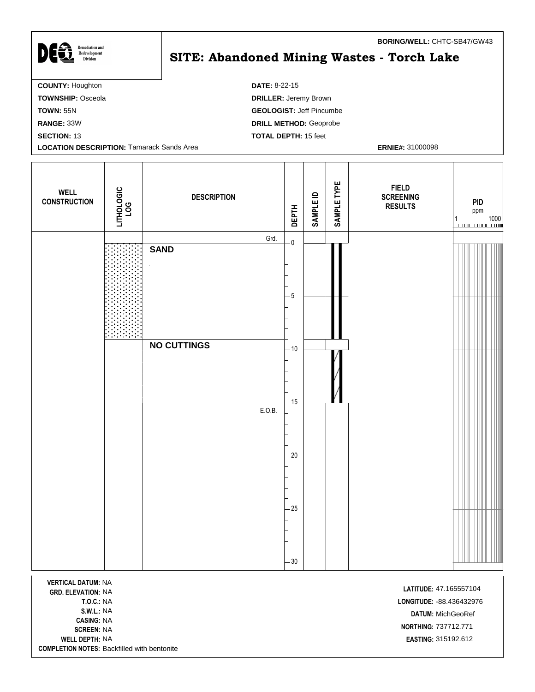| DEG<br><b>Remediation and</b><br>Redevelopment<br><b>Division</b> | <b>BURING/WELL: UNIC-3D4//GW43</b><br>SITE: Abandoned Mining Wastes - Torch Lake |  |  |  |  |  |
|-------------------------------------------------------------------|----------------------------------------------------------------------------------|--|--|--|--|--|
| <b>COUNTY: Houghton</b>                                           | <b>DATE: 8-22-15</b>                                                             |  |  |  |  |  |
| <b>TOWNSHIP: Osceola</b>                                          | <b>DRILLER: Jeremy Brown</b>                                                     |  |  |  |  |  |
| <b>TOWN: 55N</b>                                                  | <b>GEOLOGIST: Jeff Pincumbe</b>                                                  |  |  |  |  |  |
| RANGE: 33W                                                        | <b>DRILL METHOD: Geoprobe</b>                                                    |  |  |  |  |  |
| <b>SECTION: 13</b>                                                | <b>TOTAL DEPTH: 15 feet</b>                                                      |  |  |  |  |  |
| <b>LOCATION DESCRIPTION: Tamarack Sands Area</b>                  | <b>ERNIE#: 31000098</b>                                                          |  |  |  |  |  |
|                                                                   |                                                                                  |  |  |  |  |  |

| <b>WELL</b><br><b>CONSTRUCTION</b>                                               | LITHOLOGIC<br>LOG | <b>DESCRIPTION</b> | <b>DEPTH</b>            | <b>SAMPLE ID</b> | SAMPLE TYPE | <b>FIELD</b><br><b>SCREENING</b><br><b>RESULTS</b> | <b>PID</b><br>ppm<br>$1$ 1000 |
|----------------------------------------------------------------------------------|-------------------|--------------------|-------------------------|------------------|-------------|----------------------------------------------------|-------------------------------|
|                                                                                  |                   | Grd.               | $\overline{\mathbf{0}}$ |                  |             |                                                    |                               |
|                                                                                  |                   | <b>SAND</b>        | $-5$                    |                  |             |                                                    |                               |
|                                                                                  |                   | <b>NO CUTTINGS</b> |                         |                  |             |                                                    |                               |
|                                                                                  |                   |                    | $-10$<br>$-15$          |                  |             |                                                    |                               |
|                                                                                  |                   | E.O.B.             | $-20$                   |                  |             |                                                    |                               |
|                                                                                  |                   |                    | $-25$                   |                  |             |                                                    |                               |
|                                                                                  |                   |                    | $-30$                   |                  |             |                                                    |                               |
| <b>VERTICAL DATUM: NA</b><br>LATITUDE: 47.165557104<br><b>GRD. ELEVATION: NA</b> |                   |                    |                         |                  |             |                                                    |                               |

**GRD. ELEVATION: NA CASING:** NA

**T.O.C.:** NA **LONGITUDE:** -88.436432976 **S.W.L.:** NA **DATUM:** MichGeoRef **NORTHING:** 737712.771<br>**SCREEN:** NA **WELL DEPTH:** NA **EASTING:** 315192.612

**BORING/WELL:** CHTC-SB47/GW43

**COMPLETION NOTES:** Backfilled with bentonite